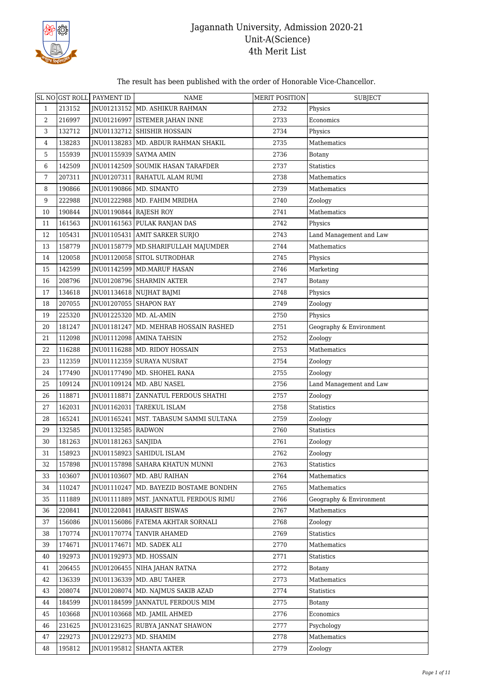

#### The result has been published with the order of Honorable Vice-Chancellor.

|                |        | SL NO GST ROLL PAYMENT ID | <b>NAME</b>                              | MERIT POSITION | <b>SUBJECT</b>          |
|----------------|--------|---------------------------|------------------------------------------|----------------|-------------------------|
| $\mathbf{1}$   | 213152 |                           | JNU01213152   MD. ASHIKUR RAHMAN         | 2732           | Physics                 |
| $\overline{2}$ | 216997 |                           | JNU01216997   ISTEMER JAHAN INNE         | 2733           | Economics               |
| 3              | 132712 |                           | JNU01132712   SHISHIR HOSSAIN            | 2734           | Physics                 |
| 4              | 138283 |                           | INU01138283   MD. ABDUR RAHMAN SHAKIL    | 2735           | Mathematics             |
| 5              | 155939 | JNU01155939   SAYMA AMIN  |                                          | 2736           | Botany                  |
| 6              | 142509 |                           | JNU01142509 SOUMIK HASAN TARAFDER        | 2737           | <b>Statistics</b>       |
| 7              | 207311 |                           | INU01207311 RAHATUL ALAM RUMI            | 2738           | Mathematics             |
| 8              | 190866 |                           | JNU01190866   MD. SIMANTO                | 2739           | Mathematics             |
| 9              | 222988 |                           | JNU01222988   MD. FAHIM MRIDHA           | 2740           | Zoology                 |
| 10             | 190844 | INU01190844 RAJESH ROY    |                                          | 2741           | Mathematics             |
| 11             | 161563 |                           | JNU01161563 PULAK RANJAN DAS             | 2742           | Physics                 |
| 12             | 105431 |                           | JNU01105431   AMIT SARKER SURJO          | 2743           | Land Management and Law |
| 13             | 158779 |                           | JNU01158779   MD.SHARIFULLAH MAJUMDER    | 2744           | Mathematics             |
| 14             | 120058 |                           | JNU01120058 SITOL SUTRODHAR              | 2745           | Physics                 |
| 15             | 142599 |                           | JNU01142599   MD.MARUF HASAN             | 2746           | Marketing               |
| 16             | 208796 |                           | JNU01208796   SHARMIN AKTER              | 2747           | Botany                  |
| 17             | 134618 |                           | JNU01134618 NUJHAT BAJMI                 | 2748           | Physics                 |
| 18             | 207055 | JNU01207055 SHAPON RAY    |                                          | 2749           | Zoology                 |
| 19             | 225320 | JNU01225320   MD. AL-AMIN |                                          | 2750           | Physics                 |
| 20             | 181247 |                           | JNU01181247   MD. MEHRAB HOSSAIN RASHED  | 2751           | Geography & Environment |
| 21             | 112098 |                           | JNU01112098   AMINA TAHSIN               | 2752           | Zoology                 |
| 22             | 116288 |                           | JNU01116288   MD. RIDOY HOSSAIN          | 2753           | Mathematics             |
| 23             | 112359 |                           | JNU01112359 SURAYA NUSRAT                | 2754           | Zoology                 |
| 24             | 177490 |                           | JNU01177490   MD. SHOHEL RANA            | 2755           | Zoology                 |
| 25             | 109124 |                           | JNU01109124   MD. ABU NASEL              | 2756           | Land Management and Law |
| 26             | 118871 |                           | JNU01118871 ZANNATUL FERDOUS SHATHI      | 2757           | Zoology                 |
| 27             | 162031 |                           | JNU01162031   TAREKUL ISLAM              | 2758           | <b>Statistics</b>       |
| 28             | 165241 |                           | JNU01165241   MST. TABASUM SAMMI SULTANA | 2759           | Zoology                 |
| 29             | 132585 | JNU01132585   RADWON      |                                          | 2760           | <b>Statistics</b>       |
| 30             | 181263 | JNU01181263   SANJIDA     |                                          | 2761           | Zoology                 |
| 31             | 158923 |                           | JNU01158923 SAHIDUL ISLAM                | 2762           | Zoology                 |
| 32             | 157898 |                           | JNU01157898 SAHARA KHATUN MUNNI          | 2763           | Statistics              |
| 33             | 103607 | JNU01103607               | MD. ABU RAIHAN                           | 2764           | Mathematics             |
| 34             | 110247 |                           | JNU01110247   MD. BAYEZID BOSTAME BONDHN | 2765           | Mathematics             |
| 35             | 111889 |                           | JNU01111889   MST. JANNATUL FERDOUS RIMU | 2766           | Geography & Environment |
| 36             | 220841 |                           | <b>INU01220841 HARASIT BISWAS</b>        | 2767           | Mathematics             |
| 37             | 156086 |                           | JNU01156086   FATEMA AKHTAR SORNALI      | 2768           | Zoology                 |
| 38             | 170774 |                           | JNU01170774 TANVIR AHAMED                | 2769           | Statistics              |
| 39             | 174671 | JNU01174671               | MD. SADEK ALI                            | 2770           | Mathematics             |
| 40             | 192973 |                           | JNU01192973   MD. HOSSAIN                | 2771           | Statistics              |
| 41             | 206455 |                           | JNU01206455   NIHA JAHAN RATNA           | 2772           | <b>Botany</b>           |
| 42             | 136339 |                           | JNU01136339   MD. ABU TAHER              | 2773           | Mathematics             |
| 43             | 208074 |                           | JNU01208074   MD. NAJMUS SAKIB AZAD      | 2774           | Statistics              |
| 44             | 184599 |                           | JNU01184599 JANNATUL FERDOUS MIM         | 2775           | Botany                  |
| 45             | 103668 |                           | JNU01103668   MD. JAMIL AHMED            | 2776           | Economics               |
| 46             | 231625 |                           | JNU01231625 RUBYA JANNAT SHAWON          | 2777           | Psychology              |
| 47             | 229273 |                           | JNU01229273   MD. SHAMIM                 | 2778           | Mathematics             |
| 48             | 195812 |                           | JNU01195812   SHANTA AKTER               | 2779           | Zoology                 |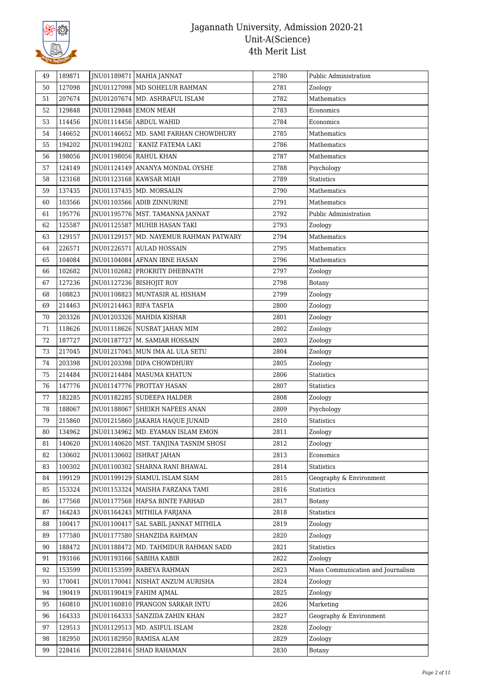

| 49 | 189871 | JNU01189871             | MAHIA JANNAT                            | 2780 | Public Administration             |
|----|--------|-------------------------|-----------------------------------------|------|-----------------------------------|
| 50 | 127098 |                         | JNU01127098   MD SOHELUR RAHMAN         | 2781 | Zoology                           |
| 51 | 207674 |                         | JNU01207674   MD. ASHRAFUL ISLAM        | 2782 | Mathematics                       |
| 52 | 129848 |                         | JNU01129848 EMON MEAH                   | 2783 | Economics                         |
| 53 | 114456 |                         | JNU01114456 ABDUL WAHID                 | 2784 | Economics                         |
| 54 | 146652 |                         | JNU01146652   MD. SAMI FARHAN CHOWDHURY | 2785 | Mathematics                       |
| 55 | 194202 | JNU01194202             | `KANIZ FATEMA LAKI                      | 2786 | Mathematics                       |
| 56 | 198056 |                         | JNU01198056 RAHUL KHAN                  | 2787 | Mathematics                       |
| 57 | 124149 |                         | INU01124149 ANANYA MONDAL OYSHE         | 2788 | Psychology                        |
| 58 | 123168 |                         | JNU01123168   KAWSAR MIAH               | 2789 | <b>Statistics</b>                 |
| 59 | 137435 |                         | JNU01137435   MD. MORSALIN              | 2790 | Mathematics                       |
| 60 | 103566 |                         | JNU01103566 ADIB ZINNURINE              | 2791 | Mathematics                       |
| 61 | 195776 |                         | JNU01195776   MST. TAMANNA JANNAT       | 2792 | Public Administration             |
| 62 | 125587 | JNU01125587             | MUHIB HASAN TAKI                        | 2793 | Zoology                           |
| 63 | 129157 | JNU01129157             | MD. NAYEMUR RAHMAN PATWARY              | 2794 | Mathematics                       |
| 64 | 226571 | JNU01226571             | <b>AULAD HOSSAIN</b>                    | 2795 | Mathematics                       |
| 65 | 104084 |                         | JNU01104084 AFNAN IBNE HASAN            | 2796 | Mathematics                       |
| 66 | 102682 |                         | JNU01102682 PROKRITY DHEBNATH           | 2797 | Zoology                           |
| 67 | 127236 |                         | JNU01127236   BISHOJIT ROY              | 2798 | Botany                            |
| 68 | 108823 |                         | JNU01108823   MUNTASIR AL HISHAM        | 2799 | Zoology                           |
| 69 | 214463 | JNU01214463 RIFA TASFIA |                                         | 2800 | Zoology                           |
| 70 | 203326 |                         | JNU01203326   MAHDIA KISHAR             | 2801 | Zoology                           |
| 71 | 118626 |                         | JNU01118626 NUSRAT JAHAN MIM            | 2802 | Zoology                           |
| 72 | 187727 | JNU01187727             | M. SAMIAR HOSSAIN                       | 2803 | Zoology                           |
| 73 | 217045 |                         | JNU01217045   MUN IMA AL ULA SETU       | 2804 | Zoology                           |
| 74 | 203398 |                         | JNU01203398 DIPA CHOWDHURY              | 2805 | Zoology                           |
| 75 | 214484 |                         | JNU01214484   MASUMA KHATUN             | 2806 | Statistics                        |
| 76 | 147776 |                         | JNU01147776   PROTTAY HASAN             | 2807 | <b>Statistics</b>                 |
| 77 | 182285 |                         | JNU01182285   SUDEEPA HALDER            | 2808 | Zoology                           |
| 78 | 188067 | JNU01188067             | SHEIKH NAFEES ANAN                      | 2809 | Psychology                        |
| 79 | 215860 | JNU01215860             | JAKARIA HAQUE JUNAID                    | 2810 | Statistics                        |
| 80 | 134962 | JNU01134962             | MD. EYAMAN ISLAM EMON                   | 2811 | Zoology                           |
| 81 | 140620 |                         | JNU01140620   MST. TANJINA TASNIM SHOSI | 2812 | Zoology                           |
| 82 | 130602 |                         | JNU01130602   ISHRAT JAHAN              | 2813 | Economics                         |
| 83 | 100302 |                         | INU01100302 SHARNA RANI BHAWAL          | 2814 | <b>Statistics</b>                 |
| 84 | 199129 |                         | INU01199129 SIAMUL ISLAM SIAM           | 2815 | Geography & Environment           |
| 85 | 153324 |                         | JNU01153324   MAISHA FARZANA TAMI       | 2816 | Statistics                        |
| 86 | 177568 |                         | JNU01177568 HAFSA BINTE FARHAD          | 2817 | <b>Botany</b>                     |
| 87 | 164243 |                         | JNU01164243 MITHILA FARJANA             | 2818 | Statistics                        |
| 88 | 100417 | JNU01100417             | SAL SABIL JANNAT MITHILA                | 2819 | Zoology                           |
| 89 | 177580 |                         | JNU01177580 SHANZIDA RAHMAN             | 2820 | Zoology                           |
| 90 | 188472 |                         | JNU01188472   MD. TAHMIDUR RAHMAN SADD  | 2821 | <b>Statistics</b>                 |
| 91 | 193166 |                         | JNU01193166   SABIHA KABIR              | 2822 | Zoology                           |
| 92 | 153599 |                         | JNU01153599 RABEYA RAHMAN               | 2823 | Mass Communication and Journalism |
| 93 | 170041 | JNU01170041             | NISHAT ANZUM AURISHA                    | 2824 | Zoology                           |
| 94 | 190419 |                         | JNU01190419   FAHIM AJMAL               | 2825 | Zoology                           |
| 95 | 160810 | JNU01160810             | <b>PRANGON SARKAR INTU</b>              | 2826 | Marketing                         |
| 96 | 164333 |                         | JNU01164333   SANZIDA ZAHIN KHAN        | 2827 | Geography & Environment           |
| 97 | 129513 |                         | JNU01129513   MD. ASIFUL ISLAM          | 2828 | Zoology                           |
| 98 | 182950 | JNU01182950             | <b>RAMISA ALAM</b>                      | 2829 | Zoology                           |
| 99 | 228416 |                         | JNU01228416 SHAD RAHAMAN                | 2830 | <b>Botany</b>                     |
|    |        |                         |                                         |      |                                   |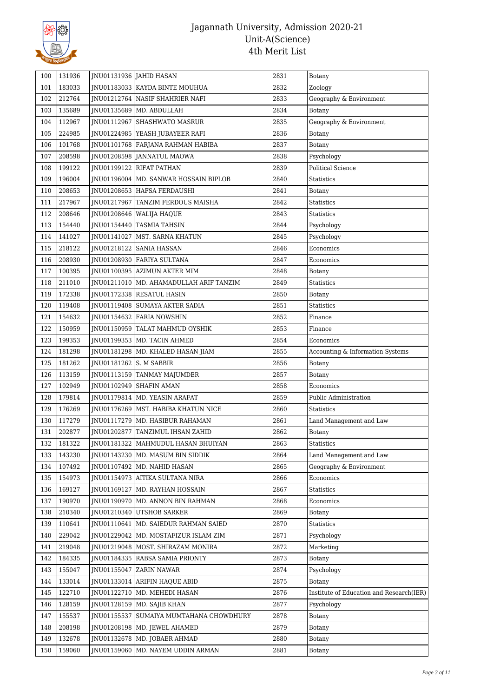

| 100 | 131936 |                         | JNU01131936 JAHID HASAN                   | 2831 | Botany                                   |
|-----|--------|-------------------------|-------------------------------------------|------|------------------------------------------|
| 101 | 183033 |                         | JNU01183033 KAYDA BINTE MOUHUA            | 2832 | Zoology                                  |
| 102 | 212764 |                         | JNU01212764   NASIF SHAHRIER NAFI         | 2833 | Geography & Environment                  |
| 103 | 135689 |                         | JNU01135689   MD. ABDULLAH                | 2834 | Botany                                   |
| 104 | 112967 |                         | JNU01112967 SHASHWATO MASRUR              | 2835 | Geography & Environment                  |
| 105 | 224985 |                         | JNU01224985   YEASH JUBAYEER RAFI         | 2836 | Botany                                   |
| 106 | 101768 |                         | JNU01101768   FARJANA RAHMAN HABIBA       | 2837 | <b>Botany</b>                            |
| 107 | 208598 |                         | JNU01208598 JANNATUL MAOWA                | 2838 | Psychology                               |
| 108 | 199122 |                         | JNU01199122 RIFAT PATHAN                  | 2839 | <b>Political Science</b>                 |
| 109 | 196004 |                         | INU01196004   MD. SANWAR HOSSAIN BIPLOB   | 2840 | Statistics                               |
| 110 | 208653 |                         | JNU01208653 HAFSA FERDAUSHI               | 2841 | Botany                                   |
| 111 | 217967 |                         | JNU01217967 TANZIM FERDOUS MAISHA         | 2842 | Statistics                               |
| 112 | 208646 |                         | JNU01208646   WALIJA HAQUE                | 2843 | <b>Statistics</b>                        |
| 113 | 154440 | JNU01154440             | <b>TASMIA TAHSIN</b>                      | 2844 | Psychology                               |
| 114 | 141027 |                         | JNU01141027   MST. SARNA KHATUN           | 2845 | Psychology                               |
| 115 | 218122 |                         | JNU01218122   SANIA HASSAN                | 2846 | Economics                                |
| 116 | 208930 |                         | JNU01208930 FARIYA SULTANA                | 2847 | Economics                                |
| 117 | 100395 |                         | JNU01100395 AZIMUN AKTER MIM              | 2848 | Botany                                   |
| 118 | 211010 |                         | JNU01211010   MD. AHAMADULLAH ARIF TANZIM | 2849 | <b>Statistics</b>                        |
| 119 | 172338 |                         | JNU01172338 RESATUL HASIN                 | 2850 | Botany                                   |
| 120 | 119408 |                         | JNU01119408 SUMAYA AKTER SADIA            | 2851 | <b>Statistics</b>                        |
| 121 | 154632 |                         | JNU01154632   FARIA NOWSHIN               | 2852 | Finance                                  |
| 122 | 150959 |                         | JNU01150959   TALAT MAHMUD OYSHIK         | 2853 | Finance                                  |
| 123 | 199353 |                         | JNU01199353   MD. TACIN AHMED             | 2854 | Economics                                |
| 124 | 181298 |                         | JNU01181298   MD. KHALED HASAN JIAM       | 2855 | Accounting & Information Systems         |
| 125 | 181262 | JNU01181262 S. M SABBIR |                                           | 2856 | <b>Botany</b>                            |
| 126 | 113159 |                         | JNU01113159 TANMAY MAJUMDER               | 2857 | Botany                                   |
| 127 | 102949 |                         | JNU01102949   SHAFIN AMAN                 | 2858 | Economics                                |
| 128 | 179814 |                         | JNU01179814   MD. YEASIN ARAFAT           | 2859 | Public Administration                    |
| 129 | 176269 |                         | JNU01176269   MST. HABIBA KHATUN NICE     | 2860 | <b>Statistics</b>                        |
| 130 | 117279 |                         | JNU01117279   MD. HASIBUR RAHAMAN         | 2861 | Land Management and Law                  |
| 131 | 202877 |                         | JNU01202877 TANZIMUL IHSAN ZAHID          | 2862 | Botany                                   |
| 132 | 181322 |                         | JNU01181322   MAHMUDUL HASAN BHUIYAN      | 2863 | <b>Statistics</b>                        |
| 133 | 143230 |                         | INU01143230   MD. MASUM BIN SIDDIK        | 2864 | Land Management and Law                  |
| 134 | 107492 |                         | JNU01107492   MD. NAHID HASAN             | 2865 | Geography & Environment                  |
| 135 | 154973 |                         | JNU01154973 AITIKA SULTANA NIRA           | 2866 | Economics                                |
| 136 | 169127 |                         | JNU01169127   MD. RAYHAN HOSSAIN          | 2867 | Statistics                               |
| 137 | 190970 |                         | JNU01190970   MD. ANNON BIN RAHMAN        | 2868 | Economics                                |
| 138 | 210340 | JNU01210340             | <b>UTSHOB SARKER</b>                      | 2869 | <b>Botany</b>                            |
| 139 | 110641 |                         | JNU01110641   MD. SAIEDUR RAHMAN SAIED    | 2870 | <b>Statistics</b>                        |
| 140 | 229042 |                         | JNU01229042   MD. MOSTAFIZUR ISLAM ZIM    | 2871 | Psychology                               |
| 141 | 219048 |                         | JNU01219048   MOST. SHIRAZAM MONIRA       | 2872 | Marketing                                |
| 142 | 184335 |                         | JNU01184335   RABSA SAMIA PRIONTY         | 2873 | <b>Botany</b>                            |
| 143 | 155047 | JNU01155047             | <b>ZARIN NAWAR</b>                        | 2874 | Psychology                               |
| 144 | 133014 |                         | JNU01133014   ARIFIN HAQUE ABID           | 2875 | Botany                                   |
| 145 | 122710 |                         | JNU01122710   MD. MEHEDI HASAN            | 2876 | Institute of Education and Research(IER) |
| 146 | 128159 |                         | JNU01128159   MD. SAJIB KHAN              | 2877 | Psychology                               |
| 147 | 155537 | JNU01155537             | SUMAIYA MUMTAHANA CHOWDHURY               | 2878 | Botany                                   |
| 148 | 208198 |                         | JNU01208198   MD. JEWEL AHAMED            | 2879 | Botany                                   |
| 149 | 132678 |                         | JNU01132678   MD. JOBAER AHMAD            | 2880 | Botany                                   |
| 150 | 159060 | JNU01159060             | MD. NAYEM UDDIN ARMAN                     | 2881 | Botany                                   |
|     |        |                         |                                           |      |                                          |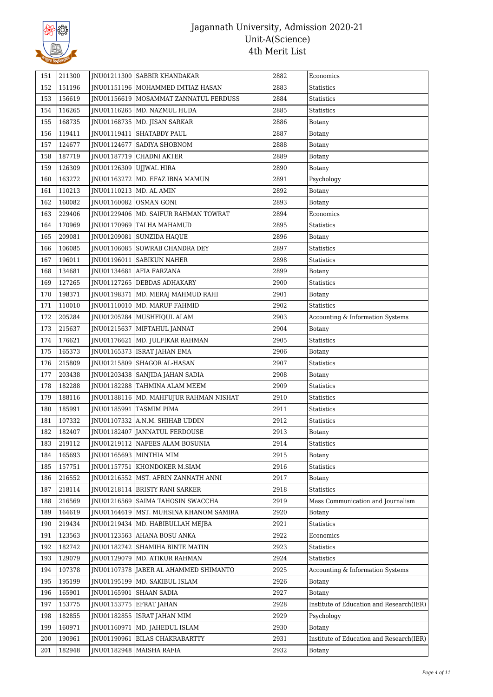

| 151 | 211300 |                           | JNU01211300 SABBIR KHANDAKAR             | 2882 | Economics                                |
|-----|--------|---------------------------|------------------------------------------|------|------------------------------------------|
| 152 | 151196 |                           | JNU01151196   MOHAMMED IMTIAZ HASAN      | 2883 | Statistics                               |
| 153 | 156619 |                           | JNU01156619   MOSAMMAT ZANNATUL FERDUSS  | 2884 | Statistics                               |
| 154 | 116265 |                           | JNU01116265   MD. NAZMUL HUDA            | 2885 | <b>Statistics</b>                        |
| 155 | 168735 |                           | JNU01168735   MD. JISAN SARKAR           | 2886 | <b>Botany</b>                            |
| 156 | 119411 | JNU01119411               | <b>SHATABDY PAUL</b>                     | 2887 | <b>Botany</b>                            |
| 157 | 124677 | JNU01124677               | SADIYA SHOBNOM                           | 2888 | Botany                                   |
| 158 | 187719 | JNU01187719               | <b>CHADNI AKTER</b>                      | 2889 | <b>Botany</b>                            |
| 159 | 126309 | JNU01126309               | UJJWAL HIRA                              | 2890 | Botany                                   |
| 160 | 163272 |                           | JNU01163272   MD. EFAZ IBNA MAMUN        | 2891 | Psychology                               |
| 161 | 110213 | JNU01110213   MD. AL AMIN |                                          | 2892 | Botany                                   |
| 162 | 160082 |                           | JNU01160082 OSMAN GONI                   | 2893 | <b>Botany</b>                            |
| 163 | 229406 |                           | JNU01229406   MD. SAIFUR RAHMAN TOWRAT   | 2894 | Economics                                |
| 164 | 170969 |                           | JNU01170969 TALHA MAHAMUD                | 2895 | Statistics                               |
| 165 | 209081 | JNU01209081               | <b>SUNZIDA HAQUE</b>                     | 2896 | Botany                                   |
| 166 | 106085 |                           | JNU01106085   SOWRAB CHANDRA DEY         | 2897 | Statistics                               |
| 167 | 196011 | JNU01196011               | <b>SABIKUN NAHER</b>                     | 2898 | <b>Statistics</b>                        |
| 168 | 134681 | JNU01134681               | <b>AFIA FARZANA</b>                      | 2899 | Botany                                   |
| 169 | 127265 |                           | JNU01127265 DEBDAS ADHAKARY              | 2900 | Statistics                               |
| 170 | 198371 | JNU01198371               | MD. MERAJ MAHMUD RAHI                    | 2901 | Botany                                   |
| 171 | 110010 | JNU01110010               | MD. MARUF FAHMID                         | 2902 | <b>Statistics</b>                        |
| 172 | 205284 |                           | JNU01205284   MUSHFIQUL ALAM             | 2903 | Accounting & Information Systems         |
| 173 | 215637 |                           | JNU01215637   MIFTAHUL JANNAT            | 2904 | Botany                                   |
| 174 | 176621 | JNU01176621               | MD. JULFIKAR RAHMAN                      | 2905 | <b>Statistics</b>                        |
| 175 | 165373 |                           | JNU01165373   ISRAT JAHAN EMA            | 2906 | Botany                                   |
| 176 | 215809 |                           | JNU01215809 SHAGOR AL-HASAN              | 2907 | Statistics                               |
| 177 | 203438 |                           | JNU01203438   SANJIDA JAHAN SADIA        | 2908 | Botany                                   |
| 178 | 182288 |                           | JNU01182288 TAHMINA ALAM MEEM            | 2909 | Statistics                               |
| 179 | 188116 |                           | JNU01188116   MD. MAHFUJUR RAHMAN NISHAT | 2910 | <b>Statistics</b>                        |
| 180 | 185991 | JNU01185991               | <b>TASMIM PIMA</b>                       | 2911 | <b>Statistics</b>                        |
| 181 | 107332 | JNU01107332               | A.N.M. SHIHAB UDDIN                      | 2912 | <b>Statistics</b>                        |
| 182 | 182407 | JNU01182407               | JANNATUL FERDOUSE                        | 2913 | Botany                                   |
| 183 | 219112 |                           | JNU01219112   NAFEES ALAM BOSUNIA        | 2914 | Statistics                               |
| 184 | 165693 |                           | JNU01165693 MINTHIA MIM                  | 2915 | Botany                                   |
| 185 | 157751 |                           | JNU01157751   KHONDOKER M.SIAM           | 2916 | Statistics                               |
| 186 | 216552 |                           | JNU01216552   MST. AFRIN ZANNATH ANNI    | 2917 | Botany                                   |
| 187 | 218114 |                           | INU01218114 BRISTY RANI SARKER           | 2918 | <b>Statistics</b>                        |
| 188 | 216569 |                           | JNU01216569   SAIMA TAHOSIN SWACCHA      | 2919 | Mass Communication and Journalism        |
| 189 | 164619 |                           | INU01164619   MST. MUHSINA KHANOM SAMIRA | 2920 | Botany                                   |
| 190 | 219434 |                           | JNU01219434   MD. HABIBULLAH MEJBA       | 2921 | Statistics                               |
| 191 | 123563 |                           | INU01123563 AHANA BOSU ANKA              | 2922 | Economics                                |
| 192 | 182742 |                           | JNU01182742   SHAMIHA BINTE MATIN        | 2923 | Statistics                               |
| 193 | 129079 | JNU01129079               | MD. ATIKUR RAHMAN                        | 2924 | Statistics                               |
| 194 | 107378 |                           | JNU01107378 JABER AL AHAMMED SHIMANTO    | 2925 | Accounting & Information Systems         |
| 195 | 195199 |                           | JNU01195199   MD. SAKIBUL ISLAM          | 2926 | Botany                                   |
| 196 | 165901 | JNU01165901               | <b>SHAAN SADIA</b>                       | 2927 | Botany                                   |
| 197 | 153775 |                           | JNU01153775 EFRAT JAHAN                  | 2928 | Institute of Education and Research(IER) |
| 198 | 182855 |                           | JNU01182855   ISRAT JAHAN MIM            | 2929 | Psychology                               |
| 199 | 160971 | JNU01160971               | MD. JAHEDUL ISLAM                        | 2930 | Botany                                   |
| 200 | 190961 | JNU01190961               | <b>BILAS CHAKRABARTTY</b>                | 2931 | Institute of Education and Research(IER) |
| 201 | 182948 |                           | JNU01182948   MAISHA RAFIA               | 2932 | Botany                                   |
|     |        |                           |                                          |      |                                          |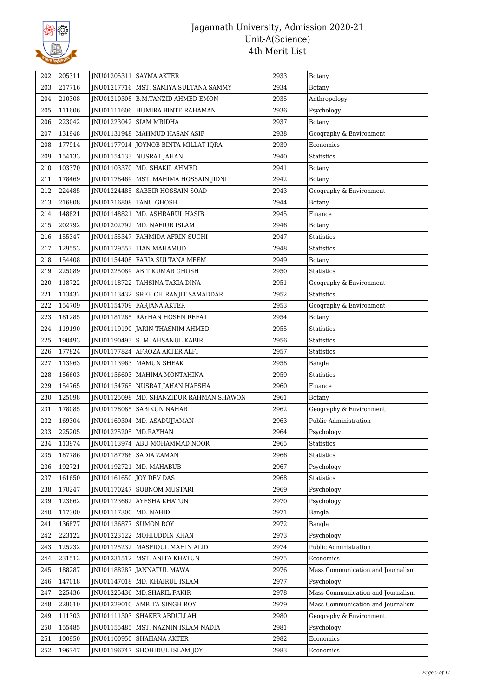

| 202 | 205311 |                         | JNU01205311   SAYMA AKTER                 | 2933 | Botany                            |
|-----|--------|-------------------------|-------------------------------------------|------|-----------------------------------|
| 203 | 217716 |                         | JNU01217716   MST. SAMIYA SULTANA SAMMY   | 2934 | Botany                            |
| 204 | 210308 |                         | JNU01210308   B.M.TANZID AHMED EMON       | 2935 | Anthropology                      |
| 205 | 111606 |                         | JNU01111606 HUMIRA BINTE RAHAMAN          | 2936 | Psychology                        |
| 206 | 223042 |                         | JNU01223042 SIAM MRIDHA                   | 2937 | Botany                            |
| 207 | 131948 |                         | JNU01131948   MAHMUD HASAN ASIF           | 2938 | Geography & Environment           |
| 208 | 177914 |                         | JNU01177914 JOYNOB BINTA MILLAT IQRA      | 2939 | Economics                         |
| 209 | 154133 |                         | JNU01154133   NUSRAT JAHAN                | 2940 | <b>Statistics</b>                 |
| 210 | 103370 | JNU01103370             | MD. SHAKIL AHMED                          | 2941 | Botany                            |
| 211 | 178469 |                         | JNU01178469   MST. MAHIMA HOSSAIN JIDNI   | 2942 | Botany                            |
| 212 | 224485 |                         | JNU01224485   SABBIR HOSSAIN SOAD         | 2943 | Geography & Environment           |
| 213 | 216808 |                         | JNU01216808   TANU GHOSH                  | 2944 | Botany                            |
| 214 | 148821 | JNU01148821             | <b>MD. ASHRARUL HASIB</b>                 | 2945 | Finance                           |
| 215 | 202792 | JNU01202792             | MD. NAFIUR ISLAM                          | 2946 | Botany                            |
| 216 | 155347 | JNU01155347             | FAHMIDA AFRIN SUCHI                       | 2947 | <b>Statistics</b>                 |
| 217 | 129553 |                         | JNU01129553 TIAN MAHAMUD                  | 2948 | <b>Statistics</b>                 |
| 218 | 154408 | INU01154408             | FARIA SULTANA MEEM                        | 2949 | Botany                            |
| 219 | 225089 |                         | JNU01225089 ABIT KUMAR GHOSH              | 2950 | <b>Statistics</b>                 |
| 220 | 118722 |                         | JNU01118722 TAHSINA TAKIA DINA            | 2951 | Geography & Environment           |
| 221 | 113432 |                         | JNU01113432   SREE CHIRANJIT SAMADDAR     | 2952 | <b>Statistics</b>                 |
| 222 | 154709 |                         | JNU01154709   FARJANA AKTER               | 2953 | Geography & Environment           |
| 223 | 181285 |                         | JNU01181285 RAYHAN HOSEN REFAT            | 2954 | Botany                            |
| 224 | 119190 |                         | JNU01119190 JARIN THASNIM AHMED           | 2955 | Statistics                        |
| 225 | 190493 |                         | JNU01190493 S. M. AHSANUL KABIR           | 2956 | <b>Statistics</b>                 |
| 226 | 177824 |                         | JNU01177824 AFROZA AKTER ALFI             | 2957 | <b>Statistics</b>                 |
| 227 | 113963 |                         | JNU01113963   MAMUN SHEAK                 | 2958 | Bangla                            |
| 228 | 156603 |                         | JNU01156603   MAHIMA MONTAHINA            | 2959 | <b>Statistics</b>                 |
| 229 | 154765 |                         | JNU01154765   NUSRAT JAHAN HAFSHA         | 2960 | Finance                           |
| 230 | 125098 |                         | JNU01125098   MD. SHANZIDUR RAHMAN SHAWON | 2961 | Botany                            |
| 231 | 178085 | JNU01178085             | <b>SABIKUN NAHAR</b>                      | 2962 | Geography & Environment           |
| 232 | 169304 |                         | JNU01169304   MD. ASADUJJAMAN             | 2963 | Public Administration             |
| 233 | 225205 | JNU01225205   MD.RAYHAN |                                           | 2964 | Psychology                        |
| 234 | 113974 |                         | JNU01113974   ABU MOHAMMAD NOOR           | 2965 | Statistics                        |
| 235 | 187786 |                         | JNU01187786   SADIA ZAMAN                 | 2966 | <b>Statistics</b>                 |
| 236 | 192721 | JNU01192721             | MD. MAHABUB                               | 2967 | Psychology                        |
| 237 | 161650 | JNU01161650 JOY DEV DAS |                                           | 2968 | <b>Statistics</b>                 |
| 238 | 170247 | JNU01170247             | <b>SOBNOM MUSTARI</b>                     | 2969 | Psychology                        |
| 239 | 123662 |                         | JNU01123662 AYESHA KHATUN                 | 2970 | Psychology                        |
| 240 | 117300 | JNU01117300   MD. NAHID |                                           | 2971 | Bangla                            |
| 241 | 136877 | JNU01136877             | <b>SUMON ROY</b>                          | 2972 | Bangla                            |
| 242 | 223122 | JNU01223122             | MOHIUDDIN KHAN                            | 2973 | Psychology                        |
| 243 | 125232 |                         | JNU01125232   MASFIQUL MAHIN ALID         | 2974 | Public Administration             |
| 244 | 231512 |                         | JNU01231512   MST. ANITA KHATUN           | 2975 | Economics                         |
| 245 | 188287 | JNU01188287             | JANNATUL MAWA                             | 2976 | Mass Communication and Journalism |
| 246 | 147018 |                         | JNU01147018   MD. KHAIRUL ISLAM           | 2977 | Psychology                        |
| 247 | 225436 | JNU01225436             | MD.SHAKIL FAKIR                           | 2978 | Mass Communication and Journalism |
| 248 | 229010 | JNU01229010             | AMRITA SINGH ROY                          | 2979 | Mass Communication and Journalism |
| 249 | 111303 |                         | JNU01111303   SHAKER ABDULLAH             | 2980 | Geography & Environment           |
| 250 | 155485 | JNU01155485             | MST. NAZNIN ISLAM NADIA                   | 2981 | Psychology                        |
| 251 | 100950 | JNU01100950             | SHAHANA AKTER                             | 2982 | Economics                         |
| 252 | 196747 | JNU01196747             | SHOHIDUL ISLAM JOY                        | 2983 | Economics                         |
|     |        |                         |                                           |      |                                   |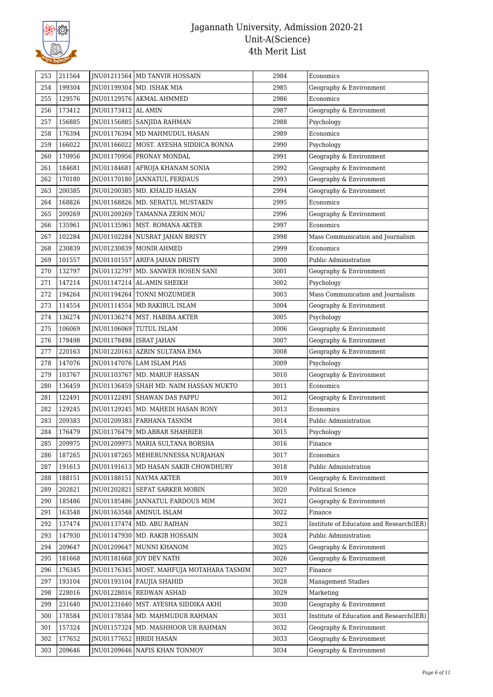

| 253 | 211564 |                           | JNU01211564   MD TANVIR HOSSAIN             | 2984 | Economics                                |
|-----|--------|---------------------------|---------------------------------------------|------|------------------------------------------|
| 254 | 199304 |                           | JNU01199304   MD. ISHAK MIA                 | 2985 | Geography & Environment                  |
| 255 | 129576 |                           | JNU01129576 AKMAL AHMMED                    | 2986 | Economics                                |
| 256 | 173412 | JNU01173412   AL AMIN     |                                             | 2987 | Geography & Environment                  |
| 257 | 156885 |                           | JNU01156885   SANJIDA RAHMAN                | 2988 | Psychology                               |
| 258 | 176394 |                           | JNU01176394   MD MAHMUDUL HASAN             | 2989 | Economics                                |
| 259 | 166022 |                           | JNU01166022 MOST. AYESHA SIDDICA BONNA      | 2990 | Psychology                               |
| 260 | 170956 |                           | JNU01170956 PRONAY MONDAL                   | 2991 | Geography & Environment                  |
| 261 | 184681 |                           | JNU01184681   AFROJA KHANAM SONIA           | 2992 | Geography & Environment                  |
| 262 | 170180 |                           | INU01170180   JANNATUL FERDAUS              | 2993 | Geography & Environment                  |
| 263 | 200385 |                           | JNU01200385   MD. KHALID HASAN              | 2994 | Geography & Environment                  |
| 264 | 168826 |                           | JNU01168826   MD. SERATUL MUSTAKIN          | 2995 | Economics                                |
| 265 | 209269 |                           | JNU01209269   TAMANNA ZERIN MOU             | 2996 | Geography & Environment                  |
| 266 | 135961 |                           | JNU01135961   MST. ROMANA AKTER             | 2997 | Economics                                |
| 267 | 102284 |                           | JNU01102284 NUSRAT JAHAN BRISTY             | 2998 | Mass Communication and Journalism        |
| 268 | 230839 |                           | JNU01230839   MONIR AHMED                   | 2999 | Economics                                |
| 269 | 101557 | JNU01101557               | ARIFA JAHAN DRISTY                          | 3000 | Public Administration                    |
| 270 | 132797 | JNU01132797               | MD. SANWER HOSEN SANI                       | 3001 | Geography & Environment                  |
| 271 | 147214 |                           | JNU01147214 AL-AMIN SHEIKH                  | 3002 | Psychology                               |
| 272 | 194264 |                           | JNU01194264   TONNI MOZUMDER                | 3003 | Mass Communication and Journalism        |
| 273 | 114554 |                           | JNU01114554   MD.RAKIBUL ISLAM              | 3004 | Geography & Environment                  |
| 274 | 136274 |                           | JNU01136274   MST. HABIBA AKTER             | 3005 | Psychology                               |
| 275 | 106069 |                           | JNU01106069 TUTUL ISLAM                     | 3006 | Geography & Environment                  |
| 276 | 178498 | JNU01178498   ISRAT JAHAN |                                             | 3007 | Geography & Environment                  |
| 277 | 220163 |                           | JNU01220163 AZRIN SULTANA EMA               | 3008 | Geography & Environment                  |
| 278 | 147076 |                           | JNU01147076 LAM ISLAM PIAS                  | 3009 | Psychology                               |
| 279 | 103767 |                           | JNU01103767   MD. MARUF HASSAN              | 3010 | Geography & Environment                  |
| 280 | 136459 |                           | JNU01136459 SHAH MD. NAIM HASSAN MUKTO      | 3011 | Economics                                |
| 281 | 122491 | JNU01122491               | <b>SHAWAN DAS PAPPU</b>                     | 3012 | Geography & Environment                  |
| 282 | 129245 |                           | JNU01129245   MD. MAHEDI HASAN RONY         | 3013 | Economics                                |
| 283 | 209383 |                           | JNU01209383 FARHANA TASNIM                  | 3014 | Public Administration                    |
| 284 | 176479 |                           | INU01176479 MD.ABRAR SHAHRIER               | 3015 | Psychology                               |
| 285 | 209975 |                           | JNU01209975   MARIA SULTANA BORSHA          | 3016 | Finance                                  |
| 286 | 187265 |                           | <b>INU01187265 MEHERUNNESSA NURJAHAN</b>    | 3017 | Economics                                |
| 287 | 191613 |                           | JNU01191613   MD HASAN SAKIB CHOWDHURY      | 3018 | Public Administration                    |
| 288 | 188151 |                           | JNU01188151 NAYMA AKTER                     | 3019 | Geography & Environment                  |
| 289 | 202821 |                           | JNU01202821 SEFAT SARKER MOBIN              | 3020 | <b>Political Science</b>                 |
| 290 | 185486 |                           | JNU01185486   JANNATUL FARDOUS MIM          | 3021 | Geography & Environment                  |
| 291 | 163548 |                           | INU01163548 AMINUL ISLAM                    | 3022 | Finance                                  |
| 292 | 137474 |                           | JNU01137474 MD. ABU RAIHAN                  | 3023 | Institute of Education and Research(IER) |
| 293 | 147930 |                           | JNU01147930   MD. RAKIB HOSSAIN             | 3024 | Public Administration                    |
| 294 | 209647 |                           | JNU01209647 MUNNI KHANOM                    | 3025 | Geography & Environment                  |
| 295 | 181668 |                           | JNU01181668 JOY DEV NATH                    | 3026 | Geography & Environment                  |
| 296 | 176345 |                           | JNU01176345   MOST. MAHFUJA MOTAHARA TASMIM | 3027 | Finance                                  |
| 297 | 193104 |                           | JNU01193104 FAUJIA SHAHID                   | 3028 | <b>Management Studies</b>                |
| 298 | 228016 |                           | JNU01228016 REDWAN ASHAD                    | 3029 | Marketing                                |
| 299 | 231640 |                           | JNU01231640   MST. AYESHA SIDDIKA AKHI      | 3030 | Geography & Environment                  |
| 300 | 178584 |                           | JNU01178584   MD. MAHMUDUR RAHMAN           | 3031 | Institute of Education and Research(IER) |
| 301 | 157324 |                           | JNU01157324   MD. MASHHOOR UR RAHMAN        | 3032 | Geography & Environment                  |
| 302 | 177652 | JNU01177652               | <b>HRIDI HASAN</b>                          | 3033 | Geography & Environment                  |
| 303 | 209646 |                           | JNU01209646   NAFIS KHAN TONMOY             | 3034 | Geography & Environment                  |
|     |        |                           |                                             |      |                                          |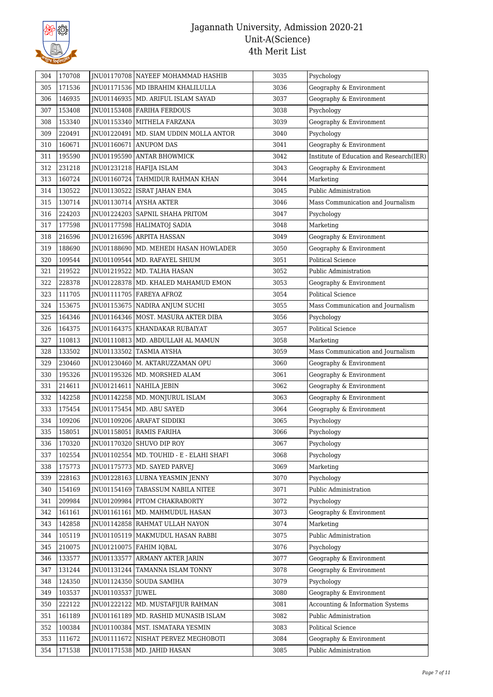

| 171536<br>3036<br>305<br>JNU01171536   MD IBRAHIM KHALILULLA<br>Geography & Environment<br>146935<br>306<br>JNU01146935   MD. ARIFUL ISLAM SAYAD<br>3037<br>Geography & Environment<br>307<br>153408<br>3038<br>JNU01153408   FARIHA FERDOUS<br>Psychology<br>153340<br>308<br>3039<br>Geography & Environment<br>JNU01153340  <br>MITHELA FARZANA<br>220491<br>309<br>JNU01220491<br>MD. SIAM UDDIN MOLLA ANTOR<br>3040<br>Psychology<br>160671<br>3041<br>310<br>JNU01160671<br><b>ANUPOM DAS</b><br>Geography & Environment<br>195590<br>3042<br>Institute of Education and Research(IER)<br>311<br>JNU01195590 ANTAR BHOWMICK<br>231218<br>312<br>JNU01231218 HAFIJA ISLAM<br>3043<br>Geography & Environment<br>160724<br>313<br>TAHMIDUR RAHMAN KHAN<br>3044<br>JNU01160724  <br>Marketing<br>314<br>130522<br>3045<br>Public Administration<br>JNU01130522   ISRAT JAHAN EMA<br>130714<br>315<br>3046<br>JNU01130714 AYSHA AKTER<br>Mass Communication and Journalism<br>224203<br>316<br>3047<br>JNU01224203   SAPNIL SHAHA PRITOM<br>Psychology<br>317<br>177598<br>JNU01177598   HALIMATOJ SADIA<br>3048<br>Marketing<br>216596<br>3049<br>318<br>JNU01216596 ARPITA HASSAN<br>Geography & Environment<br>188690<br>319<br>3050<br>Geography & Environment<br>JNU01188690   MD. MEHEDI HASAN HOWLADER<br>320<br>109544<br>MD. RAFAYEL SHIUM<br>3051<br><b>Political Science</b><br>JNU01109544  <br>219522<br>3052<br>321<br>JNU01219522   MD. TALHA HASAN<br>Public Administration<br>228378<br>3053<br>322<br>JNU01228378   MD. KHALED MAHAMUD EMON<br>Geography & Environment<br>323<br>111705<br>JNU01111705   FAREYA AFROZ<br>3054<br><b>Political Science</b><br>153675<br>324<br>JNU01153675   NADIRA ANJUM SUCHI<br>3055<br>Mass Communication and Journalism<br>325<br>164346<br>JNU01164346   MOST. MASURA AKTER DIBA<br>3056<br>Psychology<br>164375<br>326<br>3057<br><b>Political Science</b><br>JNU01164375   KHANDAKAR RUBAIYAT<br>110813<br>327<br>JNU01110813   MD. ABDULLAH AL MAMUN<br>3058<br>Marketing<br>133502<br>328<br>JNU01133502<br>TASMIA AYSHA<br>3059<br>Mass Communication and Journalism<br>230460<br>3060<br>329<br>JNU01230460   M. AKTARUZZAMAN OPU<br>Geography & Environment<br>195326<br>3061<br>330<br>JNU01195326   MD. MORSHED ALAM<br>Geography & Environment<br>331<br>214611<br>JNU01214611<br>3062<br>Geography & Environment<br>NAHILA JEBIN<br>142258<br>332<br>3063<br>JNU01142258   MD. MONJURUL ISLAM<br>Geography & Environment<br>333<br>175454<br>JNU01175454   MD. ABU SAYED<br>3064<br>Geography & Environment<br>334<br>109206<br>3065<br>JNU01109206 ARAFAT SIDDIKI<br>Psychology<br>158051<br>335<br>JNU01158051<br>RAMIS FARIHA<br>3066<br>Psychology<br>336<br>170320<br>JNU01170320 SHUVO DIP ROY<br>3067<br>Psychology<br>102554<br>337<br>JNU01102554   MD. TOUHID - E - ELAHI SHAFI<br>3068<br>Psychology<br>175773<br>3069<br>338<br>Marketing<br>JNU01175773   MD. SAYED PARVEJ<br>3070<br>228163<br>INU01228163 LUBNA YEASMIN JENNY<br>Psychology<br>339<br>340<br>154169<br>JNU01154169<br>TABASSUM NABILA NITEE<br>3071<br>Public Administration<br>209984<br>341<br>JNU01209984 PITOM CHAKRABORTY<br>3072<br>Psychology<br>342<br>161161<br>JNU01161161<br>3073<br>Geography & Environment<br>MD. MAHMUDUL HASAN<br>142858<br>343<br>JNU01142858 RAHMAT ULLAH NAYON<br>3074<br>Marketing<br>105119<br>344<br>JNU01105119   MAKMUDUL HASAN RABBI<br>3075<br>Public Administration<br>210075<br>3076<br>345<br>JNU01210075   FAHIM IQBAL<br>Psychology<br>133577<br>3077<br>Geography & Environment<br>346<br>JNU01133577<br><b>ARMANY AKTER JARIN</b><br>131244<br>347<br>JNU01131244 TAMANNA ISLAM TONNY<br>3078<br>Geography & Environment<br>348<br>124350<br>3079<br>JNU01124350   SOUDA SAMIHA<br>Psychology<br>103537<br>349<br>JNU01103537<br><b>JUWEL</b><br>3080<br>Geography & Environment<br>222122<br>JNU01222122 MD. MUSTAFIJUR RAHMAN<br>3081<br>350<br>Accounting & Information Systems<br>161189<br>JNU01161189   MD. RASHID MUNASIB ISLAM<br>3082<br>Public Administration<br>351<br>352<br>100384<br>JNU01100384<br>3083<br><b>Political Science</b><br>MST. ISMATARA YESMIN<br>111672<br>JNU01111672<br>3084<br>353<br>NISHAT PERVEZ MEGHOBOTI<br>Geography & Environment<br>354<br>171538<br>JNU01171538   MD. JAHID HASAN<br>3085<br>Public Administration | 304 | 170708 | JNU01170708 NAYEEF MOHAMMAD HASHIB | 3035 | Psychology |
|----------------------------------------------------------------------------------------------------------------------------------------------------------------------------------------------------------------------------------------------------------------------------------------------------------------------------------------------------------------------------------------------------------------------------------------------------------------------------------------------------------------------------------------------------------------------------------------------------------------------------------------------------------------------------------------------------------------------------------------------------------------------------------------------------------------------------------------------------------------------------------------------------------------------------------------------------------------------------------------------------------------------------------------------------------------------------------------------------------------------------------------------------------------------------------------------------------------------------------------------------------------------------------------------------------------------------------------------------------------------------------------------------------------------------------------------------------------------------------------------------------------------------------------------------------------------------------------------------------------------------------------------------------------------------------------------------------------------------------------------------------------------------------------------------------------------------------------------------------------------------------------------------------------------------------------------------------------------------------------------------------------------------------------------------------------------------------------------------------------------------------------------------------------------------------------------------------------------------------------------------------------------------------------------------------------------------------------------------------------------------------------------------------------------------------------------------------------------------------------------------------------------------------------------------------------------------------------------------------------------------------------------------------------------------------------------------------------------------------------------------------------------------------------------------------------------------------------------------------------------------------------------------------------------------------------------------------------------------------------------------------------------------------------------------------------------------------------------------------------------------------------------------------------------------------------------------------------------------------------------------------------------------------------------------------------------------------------------------------------------------------------------------------------------------------------------------------------------------------------------------------------------------------------------------------------------------------------------------------------------------------------------------------------------------------------------------------------------------------------------------------------------------------------------------------------------------------------------------------------------------------------------------------------------------------------------------------------------------------------------------------------------------------------------------------------------------------------------------------------------------------------------------------------------------------------------------------------------------------------------------------------------------------------------------------------------------------------------------------------|-----|--------|------------------------------------|------|------------|
|                                                                                                                                                                                                                                                                                                                                                                                                                                                                                                                                                                                                                                                                                                                                                                                                                                                                                                                                                                                                                                                                                                                                                                                                                                                                                                                                                                                                                                                                                                                                                                                                                                                                                                                                                                                                                                                                                                                                                                                                                                                                                                                                                                                                                                                                                                                                                                                                                                                                                                                                                                                                                                                                                                                                                                                                                                                                                                                                                                                                                                                                                                                                                                                                                                                                                                                                                                                                                                                                                                                                                                                                                                                                                                                                                                                                                                                                                                                                                                                                                                                                                                                                                                                                                                                                                                                                                                |     |        |                                    |      |            |
|                                                                                                                                                                                                                                                                                                                                                                                                                                                                                                                                                                                                                                                                                                                                                                                                                                                                                                                                                                                                                                                                                                                                                                                                                                                                                                                                                                                                                                                                                                                                                                                                                                                                                                                                                                                                                                                                                                                                                                                                                                                                                                                                                                                                                                                                                                                                                                                                                                                                                                                                                                                                                                                                                                                                                                                                                                                                                                                                                                                                                                                                                                                                                                                                                                                                                                                                                                                                                                                                                                                                                                                                                                                                                                                                                                                                                                                                                                                                                                                                                                                                                                                                                                                                                                                                                                                                                                |     |        |                                    |      |            |
|                                                                                                                                                                                                                                                                                                                                                                                                                                                                                                                                                                                                                                                                                                                                                                                                                                                                                                                                                                                                                                                                                                                                                                                                                                                                                                                                                                                                                                                                                                                                                                                                                                                                                                                                                                                                                                                                                                                                                                                                                                                                                                                                                                                                                                                                                                                                                                                                                                                                                                                                                                                                                                                                                                                                                                                                                                                                                                                                                                                                                                                                                                                                                                                                                                                                                                                                                                                                                                                                                                                                                                                                                                                                                                                                                                                                                                                                                                                                                                                                                                                                                                                                                                                                                                                                                                                                                                |     |        |                                    |      |            |
|                                                                                                                                                                                                                                                                                                                                                                                                                                                                                                                                                                                                                                                                                                                                                                                                                                                                                                                                                                                                                                                                                                                                                                                                                                                                                                                                                                                                                                                                                                                                                                                                                                                                                                                                                                                                                                                                                                                                                                                                                                                                                                                                                                                                                                                                                                                                                                                                                                                                                                                                                                                                                                                                                                                                                                                                                                                                                                                                                                                                                                                                                                                                                                                                                                                                                                                                                                                                                                                                                                                                                                                                                                                                                                                                                                                                                                                                                                                                                                                                                                                                                                                                                                                                                                                                                                                                                                |     |        |                                    |      |            |
|                                                                                                                                                                                                                                                                                                                                                                                                                                                                                                                                                                                                                                                                                                                                                                                                                                                                                                                                                                                                                                                                                                                                                                                                                                                                                                                                                                                                                                                                                                                                                                                                                                                                                                                                                                                                                                                                                                                                                                                                                                                                                                                                                                                                                                                                                                                                                                                                                                                                                                                                                                                                                                                                                                                                                                                                                                                                                                                                                                                                                                                                                                                                                                                                                                                                                                                                                                                                                                                                                                                                                                                                                                                                                                                                                                                                                                                                                                                                                                                                                                                                                                                                                                                                                                                                                                                                                                |     |        |                                    |      |            |
|                                                                                                                                                                                                                                                                                                                                                                                                                                                                                                                                                                                                                                                                                                                                                                                                                                                                                                                                                                                                                                                                                                                                                                                                                                                                                                                                                                                                                                                                                                                                                                                                                                                                                                                                                                                                                                                                                                                                                                                                                                                                                                                                                                                                                                                                                                                                                                                                                                                                                                                                                                                                                                                                                                                                                                                                                                                                                                                                                                                                                                                                                                                                                                                                                                                                                                                                                                                                                                                                                                                                                                                                                                                                                                                                                                                                                                                                                                                                                                                                                                                                                                                                                                                                                                                                                                                                                                |     |        |                                    |      |            |
|                                                                                                                                                                                                                                                                                                                                                                                                                                                                                                                                                                                                                                                                                                                                                                                                                                                                                                                                                                                                                                                                                                                                                                                                                                                                                                                                                                                                                                                                                                                                                                                                                                                                                                                                                                                                                                                                                                                                                                                                                                                                                                                                                                                                                                                                                                                                                                                                                                                                                                                                                                                                                                                                                                                                                                                                                                                                                                                                                                                                                                                                                                                                                                                                                                                                                                                                                                                                                                                                                                                                                                                                                                                                                                                                                                                                                                                                                                                                                                                                                                                                                                                                                                                                                                                                                                                                                                |     |        |                                    |      |            |
|                                                                                                                                                                                                                                                                                                                                                                                                                                                                                                                                                                                                                                                                                                                                                                                                                                                                                                                                                                                                                                                                                                                                                                                                                                                                                                                                                                                                                                                                                                                                                                                                                                                                                                                                                                                                                                                                                                                                                                                                                                                                                                                                                                                                                                                                                                                                                                                                                                                                                                                                                                                                                                                                                                                                                                                                                                                                                                                                                                                                                                                                                                                                                                                                                                                                                                                                                                                                                                                                                                                                                                                                                                                                                                                                                                                                                                                                                                                                                                                                                                                                                                                                                                                                                                                                                                                                                                |     |        |                                    |      |            |
|                                                                                                                                                                                                                                                                                                                                                                                                                                                                                                                                                                                                                                                                                                                                                                                                                                                                                                                                                                                                                                                                                                                                                                                                                                                                                                                                                                                                                                                                                                                                                                                                                                                                                                                                                                                                                                                                                                                                                                                                                                                                                                                                                                                                                                                                                                                                                                                                                                                                                                                                                                                                                                                                                                                                                                                                                                                                                                                                                                                                                                                                                                                                                                                                                                                                                                                                                                                                                                                                                                                                                                                                                                                                                                                                                                                                                                                                                                                                                                                                                                                                                                                                                                                                                                                                                                                                                                |     |        |                                    |      |            |
|                                                                                                                                                                                                                                                                                                                                                                                                                                                                                                                                                                                                                                                                                                                                                                                                                                                                                                                                                                                                                                                                                                                                                                                                                                                                                                                                                                                                                                                                                                                                                                                                                                                                                                                                                                                                                                                                                                                                                                                                                                                                                                                                                                                                                                                                                                                                                                                                                                                                                                                                                                                                                                                                                                                                                                                                                                                                                                                                                                                                                                                                                                                                                                                                                                                                                                                                                                                                                                                                                                                                                                                                                                                                                                                                                                                                                                                                                                                                                                                                                                                                                                                                                                                                                                                                                                                                                                |     |        |                                    |      |            |
|                                                                                                                                                                                                                                                                                                                                                                                                                                                                                                                                                                                                                                                                                                                                                                                                                                                                                                                                                                                                                                                                                                                                                                                                                                                                                                                                                                                                                                                                                                                                                                                                                                                                                                                                                                                                                                                                                                                                                                                                                                                                                                                                                                                                                                                                                                                                                                                                                                                                                                                                                                                                                                                                                                                                                                                                                                                                                                                                                                                                                                                                                                                                                                                                                                                                                                                                                                                                                                                                                                                                                                                                                                                                                                                                                                                                                                                                                                                                                                                                                                                                                                                                                                                                                                                                                                                                                                |     |        |                                    |      |            |
|                                                                                                                                                                                                                                                                                                                                                                                                                                                                                                                                                                                                                                                                                                                                                                                                                                                                                                                                                                                                                                                                                                                                                                                                                                                                                                                                                                                                                                                                                                                                                                                                                                                                                                                                                                                                                                                                                                                                                                                                                                                                                                                                                                                                                                                                                                                                                                                                                                                                                                                                                                                                                                                                                                                                                                                                                                                                                                                                                                                                                                                                                                                                                                                                                                                                                                                                                                                                                                                                                                                                                                                                                                                                                                                                                                                                                                                                                                                                                                                                                                                                                                                                                                                                                                                                                                                                                                |     |        |                                    |      |            |
|                                                                                                                                                                                                                                                                                                                                                                                                                                                                                                                                                                                                                                                                                                                                                                                                                                                                                                                                                                                                                                                                                                                                                                                                                                                                                                                                                                                                                                                                                                                                                                                                                                                                                                                                                                                                                                                                                                                                                                                                                                                                                                                                                                                                                                                                                                                                                                                                                                                                                                                                                                                                                                                                                                                                                                                                                                                                                                                                                                                                                                                                                                                                                                                                                                                                                                                                                                                                                                                                                                                                                                                                                                                                                                                                                                                                                                                                                                                                                                                                                                                                                                                                                                                                                                                                                                                                                                |     |        |                                    |      |            |
|                                                                                                                                                                                                                                                                                                                                                                                                                                                                                                                                                                                                                                                                                                                                                                                                                                                                                                                                                                                                                                                                                                                                                                                                                                                                                                                                                                                                                                                                                                                                                                                                                                                                                                                                                                                                                                                                                                                                                                                                                                                                                                                                                                                                                                                                                                                                                                                                                                                                                                                                                                                                                                                                                                                                                                                                                                                                                                                                                                                                                                                                                                                                                                                                                                                                                                                                                                                                                                                                                                                                                                                                                                                                                                                                                                                                                                                                                                                                                                                                                                                                                                                                                                                                                                                                                                                                                                |     |        |                                    |      |            |
|                                                                                                                                                                                                                                                                                                                                                                                                                                                                                                                                                                                                                                                                                                                                                                                                                                                                                                                                                                                                                                                                                                                                                                                                                                                                                                                                                                                                                                                                                                                                                                                                                                                                                                                                                                                                                                                                                                                                                                                                                                                                                                                                                                                                                                                                                                                                                                                                                                                                                                                                                                                                                                                                                                                                                                                                                                                                                                                                                                                                                                                                                                                                                                                                                                                                                                                                                                                                                                                                                                                                                                                                                                                                                                                                                                                                                                                                                                                                                                                                                                                                                                                                                                                                                                                                                                                                                                |     |        |                                    |      |            |
|                                                                                                                                                                                                                                                                                                                                                                                                                                                                                                                                                                                                                                                                                                                                                                                                                                                                                                                                                                                                                                                                                                                                                                                                                                                                                                                                                                                                                                                                                                                                                                                                                                                                                                                                                                                                                                                                                                                                                                                                                                                                                                                                                                                                                                                                                                                                                                                                                                                                                                                                                                                                                                                                                                                                                                                                                                                                                                                                                                                                                                                                                                                                                                                                                                                                                                                                                                                                                                                                                                                                                                                                                                                                                                                                                                                                                                                                                                                                                                                                                                                                                                                                                                                                                                                                                                                                                                |     |        |                                    |      |            |
|                                                                                                                                                                                                                                                                                                                                                                                                                                                                                                                                                                                                                                                                                                                                                                                                                                                                                                                                                                                                                                                                                                                                                                                                                                                                                                                                                                                                                                                                                                                                                                                                                                                                                                                                                                                                                                                                                                                                                                                                                                                                                                                                                                                                                                                                                                                                                                                                                                                                                                                                                                                                                                                                                                                                                                                                                                                                                                                                                                                                                                                                                                                                                                                                                                                                                                                                                                                                                                                                                                                                                                                                                                                                                                                                                                                                                                                                                                                                                                                                                                                                                                                                                                                                                                                                                                                                                                |     |        |                                    |      |            |
|                                                                                                                                                                                                                                                                                                                                                                                                                                                                                                                                                                                                                                                                                                                                                                                                                                                                                                                                                                                                                                                                                                                                                                                                                                                                                                                                                                                                                                                                                                                                                                                                                                                                                                                                                                                                                                                                                                                                                                                                                                                                                                                                                                                                                                                                                                                                                                                                                                                                                                                                                                                                                                                                                                                                                                                                                                                                                                                                                                                                                                                                                                                                                                                                                                                                                                                                                                                                                                                                                                                                                                                                                                                                                                                                                                                                                                                                                                                                                                                                                                                                                                                                                                                                                                                                                                                                                                |     |        |                                    |      |            |
|                                                                                                                                                                                                                                                                                                                                                                                                                                                                                                                                                                                                                                                                                                                                                                                                                                                                                                                                                                                                                                                                                                                                                                                                                                                                                                                                                                                                                                                                                                                                                                                                                                                                                                                                                                                                                                                                                                                                                                                                                                                                                                                                                                                                                                                                                                                                                                                                                                                                                                                                                                                                                                                                                                                                                                                                                                                                                                                                                                                                                                                                                                                                                                                                                                                                                                                                                                                                                                                                                                                                                                                                                                                                                                                                                                                                                                                                                                                                                                                                                                                                                                                                                                                                                                                                                                                                                                |     |        |                                    |      |            |
|                                                                                                                                                                                                                                                                                                                                                                                                                                                                                                                                                                                                                                                                                                                                                                                                                                                                                                                                                                                                                                                                                                                                                                                                                                                                                                                                                                                                                                                                                                                                                                                                                                                                                                                                                                                                                                                                                                                                                                                                                                                                                                                                                                                                                                                                                                                                                                                                                                                                                                                                                                                                                                                                                                                                                                                                                                                                                                                                                                                                                                                                                                                                                                                                                                                                                                                                                                                                                                                                                                                                                                                                                                                                                                                                                                                                                                                                                                                                                                                                                                                                                                                                                                                                                                                                                                                                                                |     |        |                                    |      |            |
|                                                                                                                                                                                                                                                                                                                                                                                                                                                                                                                                                                                                                                                                                                                                                                                                                                                                                                                                                                                                                                                                                                                                                                                                                                                                                                                                                                                                                                                                                                                                                                                                                                                                                                                                                                                                                                                                                                                                                                                                                                                                                                                                                                                                                                                                                                                                                                                                                                                                                                                                                                                                                                                                                                                                                                                                                                                                                                                                                                                                                                                                                                                                                                                                                                                                                                                                                                                                                                                                                                                                                                                                                                                                                                                                                                                                                                                                                                                                                                                                                                                                                                                                                                                                                                                                                                                                                                |     |        |                                    |      |            |
|                                                                                                                                                                                                                                                                                                                                                                                                                                                                                                                                                                                                                                                                                                                                                                                                                                                                                                                                                                                                                                                                                                                                                                                                                                                                                                                                                                                                                                                                                                                                                                                                                                                                                                                                                                                                                                                                                                                                                                                                                                                                                                                                                                                                                                                                                                                                                                                                                                                                                                                                                                                                                                                                                                                                                                                                                                                                                                                                                                                                                                                                                                                                                                                                                                                                                                                                                                                                                                                                                                                                                                                                                                                                                                                                                                                                                                                                                                                                                                                                                                                                                                                                                                                                                                                                                                                                                                |     |        |                                    |      |            |
|                                                                                                                                                                                                                                                                                                                                                                                                                                                                                                                                                                                                                                                                                                                                                                                                                                                                                                                                                                                                                                                                                                                                                                                                                                                                                                                                                                                                                                                                                                                                                                                                                                                                                                                                                                                                                                                                                                                                                                                                                                                                                                                                                                                                                                                                                                                                                                                                                                                                                                                                                                                                                                                                                                                                                                                                                                                                                                                                                                                                                                                                                                                                                                                                                                                                                                                                                                                                                                                                                                                                                                                                                                                                                                                                                                                                                                                                                                                                                                                                                                                                                                                                                                                                                                                                                                                                                                |     |        |                                    |      |            |
|                                                                                                                                                                                                                                                                                                                                                                                                                                                                                                                                                                                                                                                                                                                                                                                                                                                                                                                                                                                                                                                                                                                                                                                                                                                                                                                                                                                                                                                                                                                                                                                                                                                                                                                                                                                                                                                                                                                                                                                                                                                                                                                                                                                                                                                                                                                                                                                                                                                                                                                                                                                                                                                                                                                                                                                                                                                                                                                                                                                                                                                                                                                                                                                                                                                                                                                                                                                                                                                                                                                                                                                                                                                                                                                                                                                                                                                                                                                                                                                                                                                                                                                                                                                                                                                                                                                                                                |     |        |                                    |      |            |
|                                                                                                                                                                                                                                                                                                                                                                                                                                                                                                                                                                                                                                                                                                                                                                                                                                                                                                                                                                                                                                                                                                                                                                                                                                                                                                                                                                                                                                                                                                                                                                                                                                                                                                                                                                                                                                                                                                                                                                                                                                                                                                                                                                                                                                                                                                                                                                                                                                                                                                                                                                                                                                                                                                                                                                                                                                                                                                                                                                                                                                                                                                                                                                                                                                                                                                                                                                                                                                                                                                                                                                                                                                                                                                                                                                                                                                                                                                                                                                                                                                                                                                                                                                                                                                                                                                                                                                |     |        |                                    |      |            |
|                                                                                                                                                                                                                                                                                                                                                                                                                                                                                                                                                                                                                                                                                                                                                                                                                                                                                                                                                                                                                                                                                                                                                                                                                                                                                                                                                                                                                                                                                                                                                                                                                                                                                                                                                                                                                                                                                                                                                                                                                                                                                                                                                                                                                                                                                                                                                                                                                                                                                                                                                                                                                                                                                                                                                                                                                                                                                                                                                                                                                                                                                                                                                                                                                                                                                                                                                                                                                                                                                                                                                                                                                                                                                                                                                                                                                                                                                                                                                                                                                                                                                                                                                                                                                                                                                                                                                                |     |        |                                    |      |            |
|                                                                                                                                                                                                                                                                                                                                                                                                                                                                                                                                                                                                                                                                                                                                                                                                                                                                                                                                                                                                                                                                                                                                                                                                                                                                                                                                                                                                                                                                                                                                                                                                                                                                                                                                                                                                                                                                                                                                                                                                                                                                                                                                                                                                                                                                                                                                                                                                                                                                                                                                                                                                                                                                                                                                                                                                                                                                                                                                                                                                                                                                                                                                                                                                                                                                                                                                                                                                                                                                                                                                                                                                                                                                                                                                                                                                                                                                                                                                                                                                                                                                                                                                                                                                                                                                                                                                                                |     |        |                                    |      |            |
|                                                                                                                                                                                                                                                                                                                                                                                                                                                                                                                                                                                                                                                                                                                                                                                                                                                                                                                                                                                                                                                                                                                                                                                                                                                                                                                                                                                                                                                                                                                                                                                                                                                                                                                                                                                                                                                                                                                                                                                                                                                                                                                                                                                                                                                                                                                                                                                                                                                                                                                                                                                                                                                                                                                                                                                                                                                                                                                                                                                                                                                                                                                                                                                                                                                                                                                                                                                                                                                                                                                                                                                                                                                                                                                                                                                                                                                                                                                                                                                                                                                                                                                                                                                                                                                                                                                                                                |     |        |                                    |      |            |
|                                                                                                                                                                                                                                                                                                                                                                                                                                                                                                                                                                                                                                                                                                                                                                                                                                                                                                                                                                                                                                                                                                                                                                                                                                                                                                                                                                                                                                                                                                                                                                                                                                                                                                                                                                                                                                                                                                                                                                                                                                                                                                                                                                                                                                                                                                                                                                                                                                                                                                                                                                                                                                                                                                                                                                                                                                                                                                                                                                                                                                                                                                                                                                                                                                                                                                                                                                                                                                                                                                                                                                                                                                                                                                                                                                                                                                                                                                                                                                                                                                                                                                                                                                                                                                                                                                                                                                |     |        |                                    |      |            |
|                                                                                                                                                                                                                                                                                                                                                                                                                                                                                                                                                                                                                                                                                                                                                                                                                                                                                                                                                                                                                                                                                                                                                                                                                                                                                                                                                                                                                                                                                                                                                                                                                                                                                                                                                                                                                                                                                                                                                                                                                                                                                                                                                                                                                                                                                                                                                                                                                                                                                                                                                                                                                                                                                                                                                                                                                                                                                                                                                                                                                                                                                                                                                                                                                                                                                                                                                                                                                                                                                                                                                                                                                                                                                                                                                                                                                                                                                                                                                                                                                                                                                                                                                                                                                                                                                                                                                                |     |        |                                    |      |            |
|                                                                                                                                                                                                                                                                                                                                                                                                                                                                                                                                                                                                                                                                                                                                                                                                                                                                                                                                                                                                                                                                                                                                                                                                                                                                                                                                                                                                                                                                                                                                                                                                                                                                                                                                                                                                                                                                                                                                                                                                                                                                                                                                                                                                                                                                                                                                                                                                                                                                                                                                                                                                                                                                                                                                                                                                                                                                                                                                                                                                                                                                                                                                                                                                                                                                                                                                                                                                                                                                                                                                                                                                                                                                                                                                                                                                                                                                                                                                                                                                                                                                                                                                                                                                                                                                                                                                                                |     |        |                                    |      |            |
|                                                                                                                                                                                                                                                                                                                                                                                                                                                                                                                                                                                                                                                                                                                                                                                                                                                                                                                                                                                                                                                                                                                                                                                                                                                                                                                                                                                                                                                                                                                                                                                                                                                                                                                                                                                                                                                                                                                                                                                                                                                                                                                                                                                                                                                                                                                                                                                                                                                                                                                                                                                                                                                                                                                                                                                                                                                                                                                                                                                                                                                                                                                                                                                                                                                                                                                                                                                                                                                                                                                                                                                                                                                                                                                                                                                                                                                                                                                                                                                                                                                                                                                                                                                                                                                                                                                                                                |     |        |                                    |      |            |
|                                                                                                                                                                                                                                                                                                                                                                                                                                                                                                                                                                                                                                                                                                                                                                                                                                                                                                                                                                                                                                                                                                                                                                                                                                                                                                                                                                                                                                                                                                                                                                                                                                                                                                                                                                                                                                                                                                                                                                                                                                                                                                                                                                                                                                                                                                                                                                                                                                                                                                                                                                                                                                                                                                                                                                                                                                                                                                                                                                                                                                                                                                                                                                                                                                                                                                                                                                                                                                                                                                                                                                                                                                                                                                                                                                                                                                                                                                                                                                                                                                                                                                                                                                                                                                                                                                                                                                |     |        |                                    |      |            |
|                                                                                                                                                                                                                                                                                                                                                                                                                                                                                                                                                                                                                                                                                                                                                                                                                                                                                                                                                                                                                                                                                                                                                                                                                                                                                                                                                                                                                                                                                                                                                                                                                                                                                                                                                                                                                                                                                                                                                                                                                                                                                                                                                                                                                                                                                                                                                                                                                                                                                                                                                                                                                                                                                                                                                                                                                                                                                                                                                                                                                                                                                                                                                                                                                                                                                                                                                                                                                                                                                                                                                                                                                                                                                                                                                                                                                                                                                                                                                                                                                                                                                                                                                                                                                                                                                                                                                                |     |        |                                    |      |            |
|                                                                                                                                                                                                                                                                                                                                                                                                                                                                                                                                                                                                                                                                                                                                                                                                                                                                                                                                                                                                                                                                                                                                                                                                                                                                                                                                                                                                                                                                                                                                                                                                                                                                                                                                                                                                                                                                                                                                                                                                                                                                                                                                                                                                                                                                                                                                                                                                                                                                                                                                                                                                                                                                                                                                                                                                                                                                                                                                                                                                                                                                                                                                                                                                                                                                                                                                                                                                                                                                                                                                                                                                                                                                                                                                                                                                                                                                                                                                                                                                                                                                                                                                                                                                                                                                                                                                                                |     |        |                                    |      |            |
|                                                                                                                                                                                                                                                                                                                                                                                                                                                                                                                                                                                                                                                                                                                                                                                                                                                                                                                                                                                                                                                                                                                                                                                                                                                                                                                                                                                                                                                                                                                                                                                                                                                                                                                                                                                                                                                                                                                                                                                                                                                                                                                                                                                                                                                                                                                                                                                                                                                                                                                                                                                                                                                                                                                                                                                                                                                                                                                                                                                                                                                                                                                                                                                                                                                                                                                                                                                                                                                                                                                                                                                                                                                                                                                                                                                                                                                                                                                                                                                                                                                                                                                                                                                                                                                                                                                                                                |     |        |                                    |      |            |
|                                                                                                                                                                                                                                                                                                                                                                                                                                                                                                                                                                                                                                                                                                                                                                                                                                                                                                                                                                                                                                                                                                                                                                                                                                                                                                                                                                                                                                                                                                                                                                                                                                                                                                                                                                                                                                                                                                                                                                                                                                                                                                                                                                                                                                                                                                                                                                                                                                                                                                                                                                                                                                                                                                                                                                                                                                                                                                                                                                                                                                                                                                                                                                                                                                                                                                                                                                                                                                                                                                                                                                                                                                                                                                                                                                                                                                                                                                                                                                                                                                                                                                                                                                                                                                                                                                                                                                |     |        |                                    |      |            |
|                                                                                                                                                                                                                                                                                                                                                                                                                                                                                                                                                                                                                                                                                                                                                                                                                                                                                                                                                                                                                                                                                                                                                                                                                                                                                                                                                                                                                                                                                                                                                                                                                                                                                                                                                                                                                                                                                                                                                                                                                                                                                                                                                                                                                                                                                                                                                                                                                                                                                                                                                                                                                                                                                                                                                                                                                                                                                                                                                                                                                                                                                                                                                                                                                                                                                                                                                                                                                                                                                                                                                                                                                                                                                                                                                                                                                                                                                                                                                                                                                                                                                                                                                                                                                                                                                                                                                                |     |        |                                    |      |            |
|                                                                                                                                                                                                                                                                                                                                                                                                                                                                                                                                                                                                                                                                                                                                                                                                                                                                                                                                                                                                                                                                                                                                                                                                                                                                                                                                                                                                                                                                                                                                                                                                                                                                                                                                                                                                                                                                                                                                                                                                                                                                                                                                                                                                                                                                                                                                                                                                                                                                                                                                                                                                                                                                                                                                                                                                                                                                                                                                                                                                                                                                                                                                                                                                                                                                                                                                                                                                                                                                                                                                                                                                                                                                                                                                                                                                                                                                                                                                                                                                                                                                                                                                                                                                                                                                                                                                                                |     |        |                                    |      |            |
|                                                                                                                                                                                                                                                                                                                                                                                                                                                                                                                                                                                                                                                                                                                                                                                                                                                                                                                                                                                                                                                                                                                                                                                                                                                                                                                                                                                                                                                                                                                                                                                                                                                                                                                                                                                                                                                                                                                                                                                                                                                                                                                                                                                                                                                                                                                                                                                                                                                                                                                                                                                                                                                                                                                                                                                                                                                                                                                                                                                                                                                                                                                                                                                                                                                                                                                                                                                                                                                                                                                                                                                                                                                                                                                                                                                                                                                                                                                                                                                                                                                                                                                                                                                                                                                                                                                                                                |     |        |                                    |      |            |
|                                                                                                                                                                                                                                                                                                                                                                                                                                                                                                                                                                                                                                                                                                                                                                                                                                                                                                                                                                                                                                                                                                                                                                                                                                                                                                                                                                                                                                                                                                                                                                                                                                                                                                                                                                                                                                                                                                                                                                                                                                                                                                                                                                                                                                                                                                                                                                                                                                                                                                                                                                                                                                                                                                                                                                                                                                                                                                                                                                                                                                                                                                                                                                                                                                                                                                                                                                                                                                                                                                                                                                                                                                                                                                                                                                                                                                                                                                                                                                                                                                                                                                                                                                                                                                                                                                                                                                |     |        |                                    |      |            |
|                                                                                                                                                                                                                                                                                                                                                                                                                                                                                                                                                                                                                                                                                                                                                                                                                                                                                                                                                                                                                                                                                                                                                                                                                                                                                                                                                                                                                                                                                                                                                                                                                                                                                                                                                                                                                                                                                                                                                                                                                                                                                                                                                                                                                                                                                                                                                                                                                                                                                                                                                                                                                                                                                                                                                                                                                                                                                                                                                                                                                                                                                                                                                                                                                                                                                                                                                                                                                                                                                                                                                                                                                                                                                                                                                                                                                                                                                                                                                                                                                                                                                                                                                                                                                                                                                                                                                                |     |        |                                    |      |            |
|                                                                                                                                                                                                                                                                                                                                                                                                                                                                                                                                                                                                                                                                                                                                                                                                                                                                                                                                                                                                                                                                                                                                                                                                                                                                                                                                                                                                                                                                                                                                                                                                                                                                                                                                                                                                                                                                                                                                                                                                                                                                                                                                                                                                                                                                                                                                                                                                                                                                                                                                                                                                                                                                                                                                                                                                                                                                                                                                                                                                                                                                                                                                                                                                                                                                                                                                                                                                                                                                                                                                                                                                                                                                                                                                                                                                                                                                                                                                                                                                                                                                                                                                                                                                                                                                                                                                                                |     |        |                                    |      |            |
|                                                                                                                                                                                                                                                                                                                                                                                                                                                                                                                                                                                                                                                                                                                                                                                                                                                                                                                                                                                                                                                                                                                                                                                                                                                                                                                                                                                                                                                                                                                                                                                                                                                                                                                                                                                                                                                                                                                                                                                                                                                                                                                                                                                                                                                                                                                                                                                                                                                                                                                                                                                                                                                                                                                                                                                                                                                                                                                                                                                                                                                                                                                                                                                                                                                                                                                                                                                                                                                                                                                                                                                                                                                                                                                                                                                                                                                                                                                                                                                                                                                                                                                                                                                                                                                                                                                                                                |     |        |                                    |      |            |
|                                                                                                                                                                                                                                                                                                                                                                                                                                                                                                                                                                                                                                                                                                                                                                                                                                                                                                                                                                                                                                                                                                                                                                                                                                                                                                                                                                                                                                                                                                                                                                                                                                                                                                                                                                                                                                                                                                                                                                                                                                                                                                                                                                                                                                                                                                                                                                                                                                                                                                                                                                                                                                                                                                                                                                                                                                                                                                                                                                                                                                                                                                                                                                                                                                                                                                                                                                                                                                                                                                                                                                                                                                                                                                                                                                                                                                                                                                                                                                                                                                                                                                                                                                                                                                                                                                                                                                |     |        |                                    |      |            |
|                                                                                                                                                                                                                                                                                                                                                                                                                                                                                                                                                                                                                                                                                                                                                                                                                                                                                                                                                                                                                                                                                                                                                                                                                                                                                                                                                                                                                                                                                                                                                                                                                                                                                                                                                                                                                                                                                                                                                                                                                                                                                                                                                                                                                                                                                                                                                                                                                                                                                                                                                                                                                                                                                                                                                                                                                                                                                                                                                                                                                                                                                                                                                                                                                                                                                                                                                                                                                                                                                                                                                                                                                                                                                                                                                                                                                                                                                                                                                                                                                                                                                                                                                                                                                                                                                                                                                                |     |        |                                    |      |            |
|                                                                                                                                                                                                                                                                                                                                                                                                                                                                                                                                                                                                                                                                                                                                                                                                                                                                                                                                                                                                                                                                                                                                                                                                                                                                                                                                                                                                                                                                                                                                                                                                                                                                                                                                                                                                                                                                                                                                                                                                                                                                                                                                                                                                                                                                                                                                                                                                                                                                                                                                                                                                                                                                                                                                                                                                                                                                                                                                                                                                                                                                                                                                                                                                                                                                                                                                                                                                                                                                                                                                                                                                                                                                                                                                                                                                                                                                                                                                                                                                                                                                                                                                                                                                                                                                                                                                                                |     |        |                                    |      |            |
|                                                                                                                                                                                                                                                                                                                                                                                                                                                                                                                                                                                                                                                                                                                                                                                                                                                                                                                                                                                                                                                                                                                                                                                                                                                                                                                                                                                                                                                                                                                                                                                                                                                                                                                                                                                                                                                                                                                                                                                                                                                                                                                                                                                                                                                                                                                                                                                                                                                                                                                                                                                                                                                                                                                                                                                                                                                                                                                                                                                                                                                                                                                                                                                                                                                                                                                                                                                                                                                                                                                                                                                                                                                                                                                                                                                                                                                                                                                                                                                                                                                                                                                                                                                                                                                                                                                                                                |     |        |                                    |      |            |
|                                                                                                                                                                                                                                                                                                                                                                                                                                                                                                                                                                                                                                                                                                                                                                                                                                                                                                                                                                                                                                                                                                                                                                                                                                                                                                                                                                                                                                                                                                                                                                                                                                                                                                                                                                                                                                                                                                                                                                                                                                                                                                                                                                                                                                                                                                                                                                                                                                                                                                                                                                                                                                                                                                                                                                                                                                                                                                                                                                                                                                                                                                                                                                                                                                                                                                                                                                                                                                                                                                                                                                                                                                                                                                                                                                                                                                                                                                                                                                                                                                                                                                                                                                                                                                                                                                                                                                |     |        |                                    |      |            |
|                                                                                                                                                                                                                                                                                                                                                                                                                                                                                                                                                                                                                                                                                                                                                                                                                                                                                                                                                                                                                                                                                                                                                                                                                                                                                                                                                                                                                                                                                                                                                                                                                                                                                                                                                                                                                                                                                                                                                                                                                                                                                                                                                                                                                                                                                                                                                                                                                                                                                                                                                                                                                                                                                                                                                                                                                                                                                                                                                                                                                                                                                                                                                                                                                                                                                                                                                                                                                                                                                                                                                                                                                                                                                                                                                                                                                                                                                                                                                                                                                                                                                                                                                                                                                                                                                                                                                                |     |        |                                    |      |            |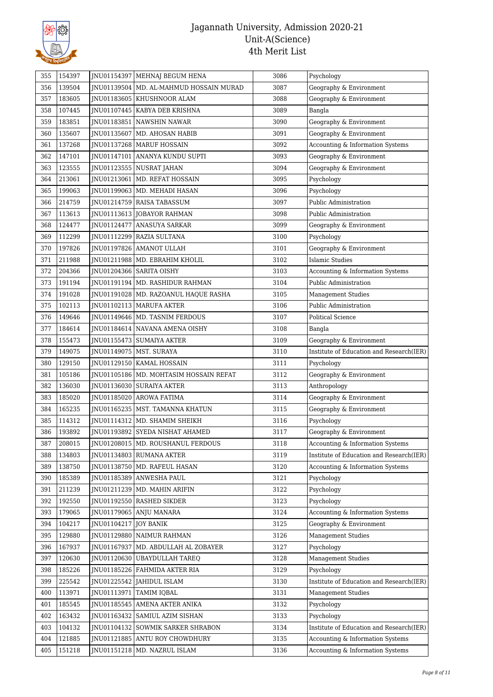

| 355 | 154397 |             | JNU01154397   MEHNAJ BEGUM HENA          | 3086 | Psychology                               |
|-----|--------|-------------|------------------------------------------|------|------------------------------------------|
| 356 | 139504 | JNU01139504 | MD. AL-MAHMUD HOSSAIN MURAD              | 3087 | Geography & Environment                  |
| 357 | 183605 | JNU01183605 | <b>KHUSHNOOR ALAM</b>                    | 3088 | Geography & Environment                  |
| 358 | 107445 |             | JNU01107445   KABYA DEB KRISHNA          | 3089 | Bangla                                   |
| 359 | 183851 | JNU01183851 | NAWSHIN NAWAR                            | 3090 | Geography & Environment                  |
| 360 | 135607 | JNU01135607 | MD. AHOSAN HABIB                         | 3091 | Geography & Environment                  |
| 361 | 137268 |             | JNU01137268   MARUF HOSSAIN              | 3092 | Accounting & Information Systems         |
| 362 | 147101 | JNU01147101 | ANANYA KUNDU SUPTI                       | 3093 | Geography & Environment                  |
| 363 | 123555 |             | JNU01123555 NUSRAT JAHAN                 | 3094 | Geography & Environment                  |
| 364 | 213061 | JNU01213061 | MD. REFAT HOSSAIN                        | 3095 | Psychology                               |
| 365 | 199063 |             | JNU01199063   MD. MEHADI HASAN           | 3096 | Psychology                               |
| 366 | 214759 |             | JNU01214759 RAISA TABASSUM               | 3097 | Public Administration                    |
| 367 | 113613 |             | JNU01113613   JOBAYOR RAHMAN             | 3098 | Public Administration                    |
| 368 | 124477 | JNU01124477 | <b>ANASUYA SARKAR</b>                    | 3099 | Geography & Environment                  |
| 369 | 112299 | JNU01112299 | <b>RAZIA SULTANA</b>                     | 3100 | Psychology                               |
| 370 | 197826 |             | JNU01197826 AMANOT ULLAH                 | 3101 | Geography & Environment                  |
| 371 | 211988 |             | JNU01211988   MD. EBRAHIM KHOLIL         | 3102 | Islamic Studies                          |
| 372 | 204366 |             | JNU01204366 SARITA OISHY                 | 3103 | Accounting & Information Systems         |
| 373 | 191194 |             | JNU01191194   MD. RASHIDUR RAHMAN        | 3104 | Public Administration                    |
| 374 | 191028 |             | JNU01191028   MD. RAZOANUL HAQUE RASHA   | 3105 | <b>Management Studies</b>                |
| 375 | 102113 | JNU01102113 | MARUFA AKTER                             | 3106 | Public Administration                    |
| 376 | 149646 |             | JNU01149646   MD. TASNIM FERDOUS         | 3107 | <b>Political Science</b>                 |
| 377 | 184614 | JNU01184614 | NAVANA AMENA OISHY                       | 3108 | Bangla                                   |
| 378 | 155473 | JNU01155473 | <b>SUMAIYA AKTER</b>                     | 3109 | Geography & Environment                  |
| 379 | 149075 |             | JNU01149075   MST. SURAYA                | 3110 | Institute of Education and Research(IER) |
| 380 | 129150 | JNU01129150 | KAMAL HOSSAIN                            | 3111 | Psychology                               |
| 381 | 105186 |             | JNU01105186   MD. MOHTASIM HOSSAIN REFAT | 3112 | Geography & Environment                  |
| 382 | 136030 | JNU01136030 | SURAIYA AKTER                            | 3113 | Anthropology                             |
| 383 | 185020 | JNU01185020 | <b>AROWA FATIMA</b>                      | 3114 | Geography & Environment                  |
| 384 | 165235 |             | JNU01165235   MST. TAMANNA KHATUN        | 3115 | Geography & Environment                  |
| 385 | 114312 | JNU01114312 | MD. SHAMIM SHEIKH                        | 3116 | Psychology                               |
| 386 | 193892 | INU01193892 | SYEDA NISHAT AHAMED                      | 3117 | Geography & Environment                  |
| 387 | 208015 | JNU01208015 | MD. ROUSHANUL FERDOUS                    | 3118 | Accounting & Information Systems         |
| 388 | 134803 | JNU01134803 | <b>RUMANA AKTER</b>                      | 3119 | Institute of Education and Research(IER) |
| 389 | 138750 |             | JNU01138750   MD. RAFEUL HASAN           | 3120 | Accounting & Information Systems         |
| 390 | 185389 | JNU01185389 | <b>ANWESHA PAUL</b>                      | 3121 | Psychology                               |
| 391 | 211239 |             | JNU01211239   MD. MAHIN ARIFIN           | 3122 | Psychology                               |
| 392 | 192550 |             | JNU01192550 RASHED SIKDER                | 3123 | Psychology                               |
| 393 | 179065 |             | JNU01179065 ANJU MANARA                  | 3124 | Accounting & Information Systems         |
| 394 | 104217 | JNU01104217 | <b>JOY BANIK</b>                         | 3125 | Geography & Environment                  |
| 395 | 129880 | JNU01129880 | NAIMUR RAHMAN                            | 3126 | <b>Management Studies</b>                |
| 396 | 167937 | JNU01167937 | MD. ABDULLAH AL ZOBAYER                  | 3127 | Psychology                               |
| 397 | 120630 | JNU01120630 | UBAYDULLAH TAREQ                         | 3128 | <b>Management Studies</b>                |
| 398 | 185226 |             | JNU01185226   FAHMIDA AKTER RIA          | 3129 | Psychology                               |
| 399 | 225542 | JNU01225542 | JAHIDUL ISLAM                            | 3130 | Institute of Education and Research(IER) |
| 400 | 113971 | JNU01113971 | <b>TAMIM IQBAL</b>                       | 3131 | <b>Management Studies</b>                |
| 401 | 185545 | JNU01185545 | <b>AMENA AKTER ANIKA</b>                 | 3132 | Psychology                               |
| 402 | 163432 |             | JNU01163432   SAMIUL AZIM SISHAN         | 3133 | Psychology                               |
| 403 | 104132 | JNU01104132 | SOWMIK SARKER SHRABON                    | 3134 | Institute of Education and Research(IER) |
| 404 | 121885 |             | JNU01121885 ANTU ROY CHOWDHURY           | 3135 | Accounting & Information Systems         |
| 405 | 151218 |             | JNU01151218   MD. NAZRUL ISLAM           | 3136 | Accounting & Information Systems         |
|     |        |             |                                          |      |                                          |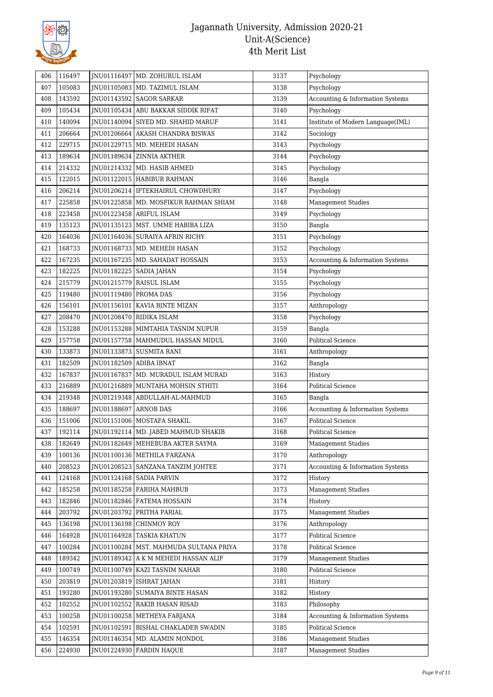

| 406 | 116497 |             | JNU01116497   MD. ZOHURUL ISLAM          | 3137 | Psychology                        |
|-----|--------|-------------|------------------------------------------|------|-----------------------------------|
| 407 | 105083 |             | JNU01105083   MD. TAZIMUL ISLAM          | 3138 | Psychology                        |
| 408 | 143592 |             | JNU01143592   SAGOR SARKAR               | 3139 | Accounting & Information Systems  |
| 409 | 105434 |             | JNU01105434   ABU BAKKAR SIDDIK RIFAT    | 3140 | Psychology                        |
| 410 | 140094 |             | JNU01140094 SIYED MD. SHAHID MARUF       | 3141 | Institute of Modern Language(IML) |
| 411 | 206664 |             | JNU01206664 AKASH CHANDRA BISWAS         | 3142 | Sociology                         |
| 412 | 229715 |             | JNU01229715   MD. MEHEDI HASAN           | 3143 | Psychology                        |
| 413 | 189634 |             | JNU01189634   ZINNIA AKTHER              | 3144 | Psychology                        |
| 414 | 214332 | JNU01214332 | MD. HASIB AHMED                          | 3145 | Psychology                        |
| 415 | 122015 |             | JNU01122015   HABIBUR RAHMAN             | 3146 | Bangla                            |
| 416 | 206214 |             | INU01206214   IFTEKHAIRUL CHOWDHURY      | 3147 | Psychology                        |
| 417 | 225858 | JNU01225858 | MD. MOSFIKUR RAHMAN SHIAM                | 3148 | <b>Management Studies</b>         |
| 418 | 223458 |             | JNU01223458 ARIFUL ISLAM                 | 3149 | Psychology                        |
| 419 | 135123 | JNU01135123 | MST. UMME HABIBA LIZA                    | 3150 | Bangla                            |
| 420 | 164036 |             | INU01164036 SURAIYA AFRIN RICHY          | 3151 | Psychology                        |
| 421 | 168733 |             | JNU01168733   MD. MEHEDI HASAN           | 3152 | Psychology                        |
| 422 | 167235 | JNU01167235 | MD. SAHADAT HOSSAIN                      | 3153 | Accounting & Information Systems  |
| 423 | 182225 |             | JNU01182225   SADIA JAHAN                | 3154 | Psychology                        |
| 424 | 215779 |             | JNU01215779   RAISUL ISLAM               | 3155 | Psychology                        |
| 425 | 119480 | JNU01119480 | <b>PROMA DAS</b>                         | 3156 | Psychology                        |
| 426 | 156101 | JNU01156101 | KAVIA BINTE MIZAN                        | 3157 | Anthropology                      |
| 427 | 208470 | JNU01208470 | <b>RIDIKA ISLAM</b>                      | 3158 | Psychology                        |
| 428 | 153288 | JNU01153288 | MIMTAHIA TASNIM NUPUR                    | 3159 | Bangla                            |
| 429 | 157758 |             | JNU01157758   MAHMUDUL HASSAN MIDUL      | 3160 | Political Science                 |
| 430 | 133873 | JNU01133873 | <b>SUSMITA RANI</b>                      | 3161 | Anthropology                      |
| 431 | 182509 | JNU01182509 | ADIBA IBNAT                              | 3162 | Bangla                            |
| 432 | 167837 | JNU01167837 | MD. MURADUL ISLAM MURAD                  | 3163 | History                           |
| 433 | 216889 | JNU01216889 | MUNTAHA MOHSIN STHITI                    | 3164 | Political Science                 |
| 434 | 219348 | JNU01219348 | ABDULLAH-AL-MAHMUD                       | 3165 | Bangla                            |
| 435 | 188697 | JNU01188697 | <b>ARNOB DAS</b>                         | 3166 | Accounting & Information Systems  |
| 436 | 151006 |             | JNU01151006   MOSTAFA SHAKIL             | 3167 | Political Science                 |
| 437 | 192114 |             | JNU01192114   MD. JABED MAHMUD SHAKIB    | 3168 | Political Science                 |
| 438 | 182649 |             | JNU01182649   MEHEBUBA AKTER SAYMA       | 3169 | <b>Management Studies</b>         |
| 439 | 100136 |             | JNU01100136   METHILA FARZANA            | 3170 | Anthropology                      |
| 440 | 208523 |             | JNU01208523   SANZANA TANZIM JOHTEE      | 3171 | Accounting & Information Systems  |
| 441 | 124168 |             | INU01124168 SADIA PARVIN                 | 3172 | History                           |
| 442 | 185258 |             | JNU01185258   FARIHA MAHBUB              | 3173 | <b>Management Studies</b>         |
| 443 | 182846 |             | JNU01182846   FATEMA HOSSAIN             | 3174 | History                           |
| 444 | 203792 |             | JNU01203792 PRITHA PARIAL                | 3175 | <b>Management Studies</b>         |
| 445 | 136198 | INU01136198 | <b>CHINMOY ROY</b>                       | 3176 | Anthropology                      |
| 446 | 164928 |             | <b>INU01164928 TASKIA KHATUN</b>         | 3177 | Political Science                 |
| 447 | 100284 |             | JNU01100284   MST. MAHMUDA SULTANA PRIYA | 3178 | Political Science                 |
| 448 | 189342 |             | JNU01189342   A K M MEHEDI HASSAN ALIF   | 3179 | <b>Management Studies</b>         |
| 449 | 100749 | JNU01100749 | KAZI TASNIM NAHAR                        | 3180 | Political Science                 |
| 450 | 203819 |             | JNU01203819   ISHRAT JAHAN               | 3181 | History                           |
| 451 | 193280 | JNU01193280 | SUMAIYA BINTE HASAN                      | 3182 | History                           |
| 452 | 102552 |             | JNU01102552 RAKIB HASAN RISAD            | 3183 | Philosophy                        |
| 453 | 100258 |             | JNU01100258   METHEYA FARJANA            | 3184 | Accounting & Information Systems  |
| 454 | 102591 | JNU01102591 | BISHAL CHAKLADER SWADIN                  | 3185 | Political Science                 |
| 455 | 146354 | JNU01146354 | MD. ALAMIN MONDOL                        | 3186 | <b>Management Studies</b>         |
| 456 | 224930 |             | JNU01224930 FARDIN HAQUE                 | 3187 | Management Studies                |
|     |        |             |                                          |      |                                   |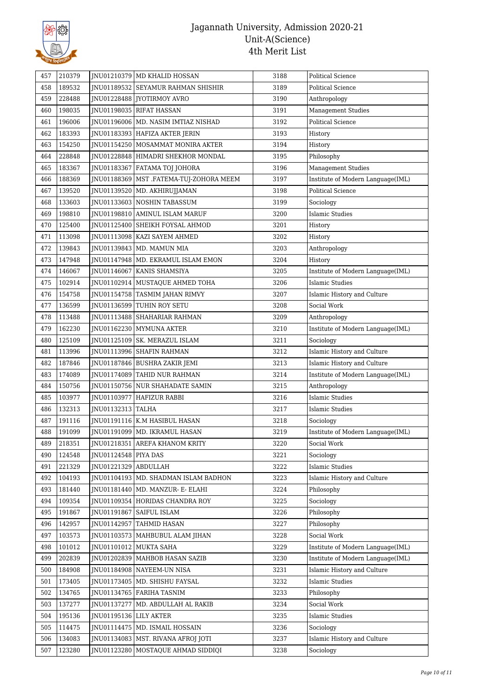

| 457 | 210379 |                          | JNU01210379 MD KHALID HOSSAN              | 3188 | Political Science                 |
|-----|--------|--------------------------|-------------------------------------------|------|-----------------------------------|
| 458 | 189532 |                          | JNU01189532 SEYAMUR RAHMAN SHISHIR        | 3189 | Political Science                 |
| 459 | 228488 |                          | JNU01228488   JYOTIRMOY AVRO              | 3190 | Anthropology                      |
| 460 | 198035 |                          | JNU01198035   RIFAT HASSAN                | 3191 | Management Studies                |
| 461 | 196006 |                          | JNU01196006   MD. NASIM IMTIAZ NISHAD     | 3192 | <b>Political Science</b>          |
| 462 | 183393 |                          | JNU01183393 HAFIZA AKTER JERIN            | 3193 | History                           |
| 463 | 154250 |                          | JNU01154250   MOSAMMAT MONIRA AKTER       | 3194 | History                           |
| 464 | 228848 |                          | INU01228848 HIMADRI SHEKHOR MONDAL        | 3195 | Philosophy                        |
| 465 | 183367 | JNU01183367              | FATAMA TOJ JOHORA                         | 3196 | <b>Management Studies</b>         |
| 466 | 188369 |                          | JNU01188369   MST .FATEMA-TUJ-ZOHORA MEEM | 3197 | Institute of Modern Language(IML) |
| 467 | 139520 | JNU01139520              | MD. AKHIRUJJAMAN                          | 3198 | <b>Political Science</b>          |
| 468 | 133603 |                          | JNU01133603 NOSHIN TABASSUM               | 3199 | Sociology                         |
| 469 | 198810 |                          | JNU01198810 AMINUL ISLAM MARUF            | 3200 | <b>Islamic Studies</b>            |
| 470 | 125400 | JNU01125400              | SHEIKH FOYSAL AHMOD                       | 3201 | History                           |
| 471 | 113098 | JNU01113098              | KAZI SAYEM AHMED                          | 3202 | History                           |
| 472 | 139843 |                          | JNU01139843   MD. MAMUN MIA               | 3203 | Anthropology                      |
| 473 | 147948 | JNU01147948              | MD. EKRAMUL ISLAM EMON                    | 3204 | History                           |
| 474 | 146067 | JNU01146067              | KANIS SHAMSIYA                            | 3205 | Institute of Modern Language(IML) |
| 475 | 102914 |                          | JNU01102914   MUSTAQUE AHMED TOHA         | 3206 | <b>Islamic Studies</b>            |
| 476 | 154758 |                          | JNU01154758   TASMIM JAHAN RIMVY          | 3207 | Islamic History and Culture       |
| 477 | 136599 | JNU01136599              | TUHIN ROY SETU                            | 3208 | Social Work                       |
| 478 | 113488 | JNU01113488              | SHAHARIAR RAHMAN                          | 3209 | Anthropology                      |
| 479 | 162230 | JNU01162230              | <b>MYMUNA AKTER</b>                       | 3210 | Institute of Modern Language(IML) |
| 480 | 125109 | JNU01125109              | <b>SK. MERAZUL ISLAM</b>                  | 3211 | Sociology                         |
| 481 | 113996 | JNU01113996              | SHAFIN RAHMAN                             | 3212 | Islamic History and Culture       |
| 482 | 187846 |                          | JNU01187846   BUSHRA ZAKIR JEMI           | 3213 | Islamic History and Culture       |
| 483 | 174089 |                          | JNU01174089 TAHID NUR RAHMAN              | 3214 | Institute of Modern Language(IML) |
| 484 | 150756 | JNU01150756              | NUR SHAHADATE SAMIN                       | 3215 | Anthropology                      |
| 485 | 103977 | JNU01103977              | HAFIZUR RABBI                             | 3216 | Islamic Studies                   |
| 486 | 132313 | JNU01132313 TALHA        |                                           | 3217 | <b>Islamic Studies</b>            |
| 487 | 191116 | JNU01191116              | K.M HASIBUL HASAN                         | 3218 | Sociology                         |
| 488 | 191099 |                          | JNU01191099   MD. IKRAMUL HASAN           | 3219 | Institute of Modern Language(IML) |
| 489 | 218351 |                          | JNU01218351 AREFA KHANOM KRITY            | 3220 | Social Work                       |
| 490 | 124548 | JNU01124548              | PIYA DAS                                  | 3221 | Sociology                         |
| 491 | 221329 | JNU01221329 ABDULLAH     |                                           | 3222 | <b>Islamic Studies</b>            |
| 492 | 104193 |                          | JNU01104193   MD. SHADMAN ISLAM BADHON    | 3223 | Islamic History and Culture       |
| 493 | 181440 | INU01181440              | MD. MANZUR- E- ELAHI                      | 3224 | Philosophy                        |
| 494 | 109354 |                          | JNU01109354 HORIDAS CHANDRA ROY           | 3225 | Sociology                         |
| 495 | 191867 |                          | JNU01191867   SAIFUL ISLAM                | 3226 | Philosophy                        |
| 496 | 142957 | JNU01142957              | TAHMID HASAN                              | 3227 | Philosophy                        |
| 497 | 103573 |                          | JNU01103573   MAHBUBUL ALAM JIHAN         | 3228 | Social Work                       |
| 498 | 101012 |                          | JNU01101012 MUKTA SAHA                    | 3229 | Institute of Modern Language(IML) |
| 499 | 202839 | JNU01202839              | MAHBOB HASAN SAZIB                        | 3230 | Institute of Modern Language(IML) |
| 500 | 184908 | JNU01184908              | NAYEEM-UN NISA                            | 3231 | Islamic History and Culture       |
| 501 | 173405 |                          | JNU01173405   MD. SHISHU FAYSAL           | 3232 | <b>Islamic Studies</b>            |
| 502 | 134765 |                          | JNU01134765   FARIHA TASNIM               | 3233 | Philosophy                        |
| 503 | 137277 | JNU01137277              | MD. ABDULLAH AL RAKIB                     | 3234 | Social Work                       |
| 504 | 195136 | JNU01195136   LILY AKTER |                                           | 3235 | <b>Islamic Studies</b>            |
| 505 | 114475 | JNU01114475              | MD. ISMAIL HOSSAIN                        | 3236 | Sociology                         |
| 506 | 134083 |                          | JNU01134083   MST. RIVANA AFROJ JOTI      | 3237 | Islamic History and Culture       |
| 507 | 123280 | JNU01123280              | MOSTAQUE AHMAD SIDDIQI                    | 3238 | Sociology                         |
|     |        |                          |                                           |      |                                   |